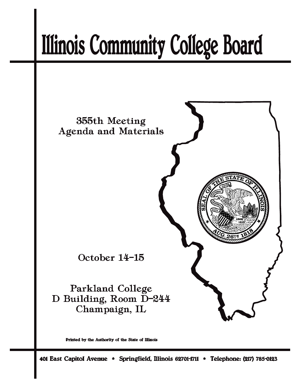# **Illinois Community College Board**



Printed by the Authority of the State of Illinois

401 East Capitol Avenue \* Springfield, Illinois 62701-1711 \* Telephone: (217) 785-0123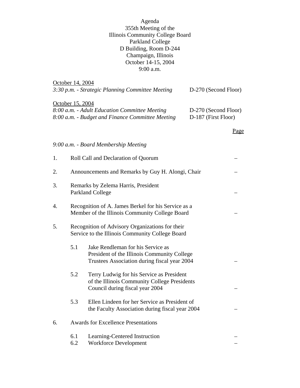Agenda 355th Meeting of the Illinois Community College Board Parkland College D Building, Room D-244 Champaign, Illinois October 14-15, 2004 9:00 a.m.

|                                                                                                          | October 14, 2004 | 3:30 p.m. - Strategic Planning Committee Meeting                                                                                 | D-270 (Second Floor)                        |      |  |
|----------------------------------------------------------------------------------------------------------|------------------|----------------------------------------------------------------------------------------------------------------------------------|---------------------------------------------|------|--|
|                                                                                                          | October 15, 2004 | 8:00 a.m. - Adult Education Committee Meeting<br>8:00 a.m. - Budget and Finance Committee Meeting                                | D-270 (Second Floor)<br>D-187 (First Floor) |      |  |
|                                                                                                          |                  |                                                                                                                                  |                                             | Page |  |
|                                                                                                          |                  | 9:00 a.m. - Board Membership Meeting                                                                                             |                                             |      |  |
| 1.                                                                                                       |                  | Roll Call and Declaration of Quorum                                                                                              |                                             |      |  |
| 2.                                                                                                       |                  | Announcements and Remarks by Guy H. Alongi, Chair                                                                                |                                             |      |  |
| 3.                                                                                                       |                  | Remarks by Zelema Harris, President<br><b>Parkland College</b>                                                                   |                                             |      |  |
| 4.                                                                                                       |                  | Recognition of A. James Berkel for his Service as a<br>Member of the Illinois Community College Board                            |                                             |      |  |
| 5.<br>Recognition of Advisory Organizations for their<br>Service to the Illinois Community College Board |                  |                                                                                                                                  |                                             |      |  |
|                                                                                                          | 5.1              | Jake Rendleman for his Service as<br>President of the Illinois Community College<br>Trustees Association during fiscal year 2004 |                                             |      |  |
|                                                                                                          | 5.2              | Terry Ludwig for his Service as President<br>of the Illinois Community College Presidents<br>Council during fiscal year 2004     |                                             |      |  |
|                                                                                                          | 5.3              | Ellen Lindeen for her Service as President of<br>the Faculty Association during fiscal year 2004                                 |                                             |      |  |
| 6.                                                                                                       |                  | <b>Awards for Excellence Presentations</b>                                                                                       |                                             |      |  |
|                                                                                                          | 6.1<br>6.2       | Learning-Centered Instruction<br><b>Workforce Development</b>                                                                    |                                             |      |  |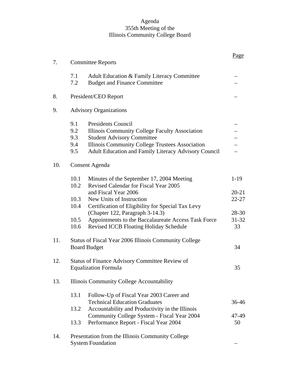#### Agenda 355th Meeting of the Illinois Community College Board

|     |                                                                                                                                                                                                                                                                | Page                     |
|-----|----------------------------------------------------------------------------------------------------------------------------------------------------------------------------------------------------------------------------------------------------------------|--------------------------|
| 7.  | <b>Committee Reports</b>                                                                                                                                                                                                                                       |                          |
|     | 7.1<br>Adult Education & Family Literacy Committee<br>7.2<br><b>Budget and Finance Committee</b>                                                                                                                                                               |                          |
| 8.  | President/CEO Report                                                                                                                                                                                                                                           |                          |
| 9.  | <b>Advisory Organizations</b>                                                                                                                                                                                                                                  |                          |
|     | 9.1<br><b>Presidents Council</b><br>9.2<br>Illinois Community College Faculty Association<br>9.3<br><b>Student Advisory Committee</b><br>9.4<br>Illinois Community College Trustees Association<br>9.5<br>Adult Education and Family Literacy Advisory Council |                          |
| 10. | <b>Consent Agenda</b>                                                                                                                                                                                                                                          |                          |
|     | Minutes of the September 17, 2004 Meeting<br>10.1<br>10.2<br>Revised Calendar for Fiscal Year 2005                                                                                                                                                             | $1-19$                   |
|     | and Fiscal Year 2006<br>10.3<br>New Units of Instruction<br>10.4<br>Certification of Eligibility for Special Tax Levy                                                                                                                                          | $20 - 21$<br>$22 - 27$   |
|     | (Chapter 122, Paragraph 3-14.3)<br>10.5<br>Appointments to the Baccalaureate Access Task Force<br>10.6<br><b>Revised ICCB Floating Holiday Schedule</b>                                                                                                        | 28-30<br>$31 - 32$<br>33 |
| 11. | Status of Fiscal Year 2006 Illinois Community College<br><b>Board Budget</b>                                                                                                                                                                                   | 34                       |
| 12. | Status of Finance Advisory Committee Review of<br><b>Equalization Formula</b>                                                                                                                                                                                  |                          |
| 13. | Illinois Community College Accountability                                                                                                                                                                                                                      |                          |
|     | 13.1<br>Follow-Up of Fiscal Year 2003 Career and<br><b>Technical Education Graduates</b>                                                                                                                                                                       | 36-46                    |
|     | 13.2<br>Accountability and Productivity in the Illinois<br>Community College System - Fiscal Year 2004                                                                                                                                                         | 47-49                    |
|     | Performance Report - Fiscal Year 2004<br>13.3                                                                                                                                                                                                                  | 50                       |
| 14. | Presentation from the Illinois Community College<br><b>System Foundation</b>                                                                                                                                                                                   |                          |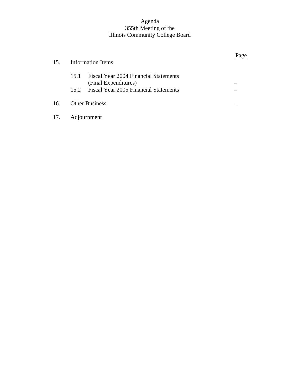#### Agenda 355th Meeting of the Illinois Community College Board

| 15. |      | Information Items                                                  | Page |
|-----|------|--------------------------------------------------------------------|------|
|     | 15.1 | <b>Fiscal Year 2004 Financial Statements</b>                       |      |
|     |      | (Final Expenditures)<br>15.2 Fiscal Year 2005 Financial Statements |      |
| 16. |      | <b>Other Business</b>                                              |      |
| 17. |      | Adjournment                                                        |      |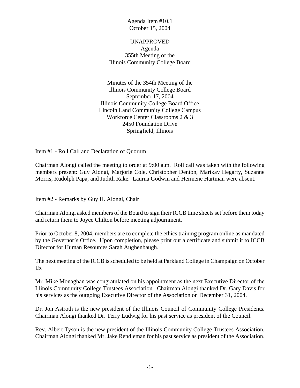#### UNAPPROVED Agenda 355th Meeting of the Illinois Community College Board

Minutes of the 354th Meeting of the Illinois Community College Board September 17, 2004 Illinois Community College Board Office Lincoln Land Community College Campus Workforce Center Classrooms 2 & 3 2450 Foundation Drive Springfield, Illinois

# Item #1 - Roll Call and Declaration of Quorum

Chairman Alongi called the meeting to order at 9:00 a.m. Roll call was taken with the following members present: Guy Alongi, Marjorie Cole, Christopher Denton, Marikay Hegarty, Suzanne Morris, Rudolph Papa, and Judith Rake. Laurna Godwin and Hermene Hartman were absent.

Item #2 - Remarks by Guy H. Alongi, Chair

Chairman Alongi asked members of the Board to sign their ICCB time sheets set before them today and return them to Joyce Chilton before meeting adjournment.

Prior to October 8, 2004, members are to complete the ethics training program online as mandated by the Governor's Office. Upon completion, please print out a certificate and submit it to ICCB Director for Human Resources Sarah Aughenbaugh.

The next meeting of the ICCB is scheduled to be held at Parkland College in Champaign on October 15.

Mr. Mike Monaghan was congratulated on his appointment as the next Executive Director of the Illinois Community College Trustees Association. Chairman Alongi thanked Dr. Gary Davis for his services as the outgoing Executive Director of the Association on December 31, 2004.

Dr. Jon Astroth is the new president of the Illinois Council of Community College Presidents. Chairman Alongi thanked Dr. Terry Ludwig for his past service as president of the Council.

Rev. Albert Tyson is the new president of the Illinois Community College Trustees Association. Chairman Alongi thanked Mr. Jake Rendleman for his past service as president of the Association.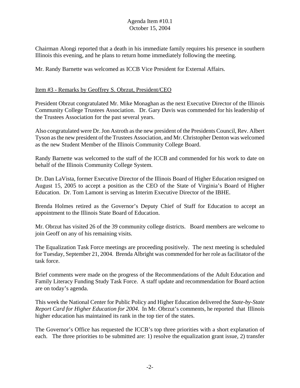Chairman Alongi reported that a death in his immediate family requires his presence in southern Illinois this evening, and he plans to return home immediately following the meeting.

Mr. Randy Barnette was welcomed as ICCB Vice President for External Affairs.

# Item #3 - Remarks by Geoffrey S. Obrzut, President/CEO

President Obrzut congratulated Mr. Mike Monaghan as the next Executive Director of the Illinois Community College Trustees Association. Dr. Gary Davis was commended for his leadership of the Trustees Association for the past several years.

Also congratulated were Dr. Jon Astroth as the new president of the Presidents Council, Rev. Albert Tyson as the new president of the Trustees Association, and Mr. Christopher Denton was welcomed as the new Student Member of the Illinois Community College Board.

Randy Barnette was welcomed to the staff of the ICCB and commended for his work to date on behalf of the Illinois Community College System.

Dr. Dan LaVista, former Executive Director of the Illinois Board of Higher Education resigned on August 15, 2005 to accept a position as the CEO of the State of Virginia's Board of Higher Education. Dr. Tom Lamont is serving as Interim Executive Director of the IBHE.

Brenda Holmes retired as the Governor's Deputy Chief of Staff for Education to accept an appointment to the Illinois State Board of Education.

Mr. Obrzut has visited 26 of the 39 community college districts. Board members are welcome to join Geoff on any of his remaining visits.

The Equalization Task Force meetings are proceeding positively. The next meeting is scheduled for Tuesday, September 21, 2004. Brenda Albright was commended for her role as facilitator of the task force.

Brief comments were made on the progress of the Recommendations of the Adult Education and Family Literacy Funding Study Task Force. A staff update and recommendation for Board action are on today's agenda.

This week the National Center for Public Policy and Higher Education delivered the *State-by-State Report Card for Higher Education for 2004.* In Mr. Obrzut's comments, he reported that Illinois higher education has maintained its rank in the top tier of the states.

The Governor's Office has requested the ICCB's top three priorities with a short explanation of each. The three priorities to be submitted are: 1) resolve the equalization grant issue, 2) transfer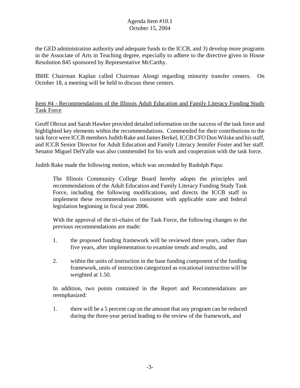the GED administration authority and adequate funds to the ICCB, and 3) develop more programs in the Associate of Arts in Teaching degree, especially to adhere to the directive given in House Resolution 845 sponsored by Representative McCarthy.

IBHE Chairman Kaplan called Chairman Alongi regarding minority transfer centers. On October 18, a meeting will be held to discuss these centers.

# Item #4 - Recommendations of the Illinois Adult Education and Family Literacy Funding Study Task Force

Geoff Obrzut and Sarah Hawker provided detailed information on the success of the task force and highlighted key elements within the recommendations. Commended for their contributions to the task force were ICCB members Judith Rake and James Berkel, ICCB CFO Don Wilske and his staff, and ICCB Senior Director for Adult Education and Family Literacy Jennifer Foster and her staff. Senator Miguel DelValle was also commended for his work and cooperation with the task force.

Judith Rake made the following motion, which was seconded by Rudolph Papa:

The Illinois Community College Board hereby adopts the principles and recommendations of the Adult Education and Family Literacy Funding Study Task Force, including the following modifications, and directs the ICCB staff to implement these recommendations consistent with applicable state and federal legislation beginning in fiscal year 2006.

With the approval of the tri-chairs of the Task Force, the following changes to the previous recommendations are made:

- 1. the proposed funding framework will be reviewed three years, rather than five years, after implementation to examine trends and results, and
- 2. within the units of instruction in the base funding component of the funding framework, units of instruction categorized as vocational instruction will be weighted at 1.50.

In addition, two points contained in the Report and Recommendations are reemphasized:

1. there will be a 5 percent cap on the amount that any program can be reduced during the three-year period leading to the review of the framework, and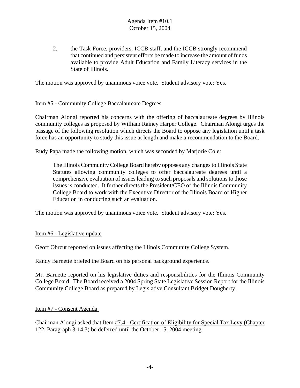2. the Task Force, providers, ICCB staff, and the ICCB strongly recommend that continued and persistent efforts be made to increase the amount of funds available to provide Adult Education and Family Literacy services in the State of Illinois.

The motion was approved by unanimous voice vote. Student advisory vote: Yes.

# Item #5 - Community College Baccalaureate Degrees

Chairman Alongi reported his concerns with the offering of baccalaureate degrees by Illinois community colleges as proposed by William Rainey Harper College. Chairman Alongi urges the passage of the following resolution which directs the Board to oppose any legislation until a task force has an opportunity to study this issue at length and make a recommendation to the Board.

Rudy Papa made the following motion, which was seconded by Marjorie Cole:

The Illinois Community College Board hereby opposes any changes to Illinois State Statutes allowing community colleges to offer baccalaureate degrees until a comprehensive evaluation of issues leading to such proposals and solutions to those issues is conducted. It further directs the President/CEO of the Illinois Community College Board to work with the Executive Director of the Illinois Board of Higher Education in conducting such an evaluation.

The motion was approved by unanimous voice vote. Student advisory vote: Yes.

Item #6 - Legislative update

Geoff Obrzut reported on issues affecting the Illinois Community College System.

Randy Barnette briefed the Board on his personal background experience.

Mr. Barnette reported on his legislative duties and responsibilities for the Illinois Community College Board. The Board received a 2004 Spring State Legislative Session Report for the Illinois Community College Board as prepared by Legislative Consultant Bridget Dougherty.

Item #7 - Consent Agenda

Chairman Alongi asked that Item #7.4 - Certification of Eligibility for Special Tax Levy (Chapter 122, Paragraph 3-14.3) be deferred until the October 15, 2004 meeting.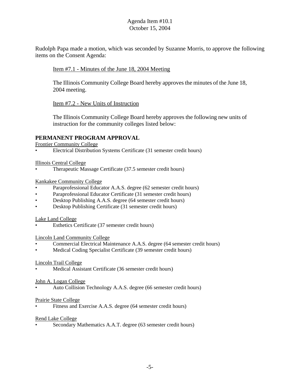Rudolph Papa made a motion, which was seconded by Suzanne Morris, to approve the following items on the Consent Agenda:

#### Item #7.1 - Minutes of the June 18, 2004 Meeting

The Illinois Community College Board hereby approves the minutes of the June 18, 2004 meeting.

Item #7.2 - New Units of Instruction

The Illinois Community College Board hereby approves the following new units of instruction for the community colleges listed below:

# **PERMANENT PROGRAM APPROVAL**

Frontier Community College

• Electrical Distribution Systems Certificate (31 semester credit hours)

Illinois Central College

• Therapeutic Massage Certificate (37.5 semester credit hours)

#### Kankakee Community College

- Paraprofessional Educator A.A.S. degree (62 semester credit hours)
- Paraprofessional Educator Certificate (31 semester credit hours)
- Desktop Publishing A.A.S. degree (64 semester credit hours)
- Desktop Publishing Certificate (31 semester credit hours)

#### Lake Land College

Esthetics Certificate (37 semester credit hours)

#### Lincoln Land Community College

- Commercial Electrical Maintenance A.A.S. degree (64 semester credit hours)
- Medical Coding Specialist Certificate (39 semester credit hours)

#### Lincoln Trail College

Medical Assistant Certificate (36 semester credit hours)

#### John A. Logan College

• Auto Collision Technology A.A.S. degree (66 semester credit hours)

#### Prairie State College

• Fitness and Exercise A.A.S. degree (64 semester credit hours)

#### Rend Lake College

• Secondary Mathematics A.A.T. degree (63 semester credit hours)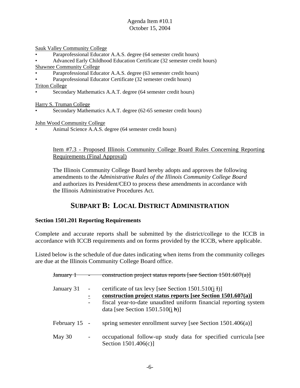Sauk Valley Community College

- Paraprofessional Educator A.A.S. degree (64 semester credit hours)
- Advanced Early Childhood Education Certificate (32 semester credit hours) Shawnee Community College
- Paraprofessional Educator A.A.S. degree (63 semester credit hours)
- Paraprofessional Educator Certificate (32 semester credit hours)

Triton College

• Secondary Mathematics A.A.T. degree (64 semester credit hours)

Harry S. Truman College

Secondary Mathematics A.A.T. degree (62-65 semester credit hours)

John Wood Community College

• Animal Science A.A.S. degree (64 semester credit hours)

#### Item #7.3 - Proposed Illinois Community College Board Rules Concerning Reporting Requirements (Final Approval)

The Illinois Community College Board hereby adopts and approves the following amendments to the *Administrative Rules of the Illinois Community College Board* and authorizes its President/CEO to process these amendments in accordance with the Illinois Administrative Procedures Act.

# **SUBPART B: LOCAL DISTRICT ADMINISTRATION**

# **Section 1501.201 Reporting Requirements**

Complete and accurate reports shall be submitted by the district/college to the ICCB in accordance with ICCB requirements and on forms provided by the ICCB, where applicable.

Listed below is the schedule of due dates indicating when items from the community colleges are due at the Illinois Community College Board office.

| <del>January 1</del> |                          | construction project status reports [see Section 1501.607(a)]                                                                                                                                                                            |
|----------------------|--------------------------|------------------------------------------------------------------------------------------------------------------------------------------------------------------------------------------------------------------------------------------|
| January 31           |                          | certificate of tax levy [see Section $1501.510(i)$ ]<br>construction project status reports [see Section 1501.607(a)]<br>fiscal year-to-date unaudited uniform financial reporting system<br>data [see Section $1501.510(i \text{ h})$ ] |
| February 15 -        |                          | spring semester enrollment survey [see Section $1501.406(a)$ ]                                                                                                                                                                           |
| May $30$             | $\overline{\phantom{a}}$ | occupational follow-up study data for specified curricula [see<br>Section $1501.406(c)$ ]                                                                                                                                                |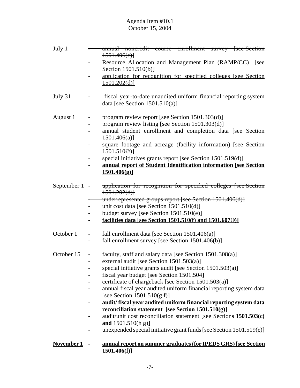| July 1        | annual noncredit course enrollment survey [see Section<br>1501.406(e)                                 |
|---------------|-------------------------------------------------------------------------------------------------------|
|               | Resource Allocation and Management Plan (RAMP/CC) [see                                                |
|               | Section 1501.510(b)]                                                                                  |
|               | application for recognition for specified colleges [see Section]<br>1501.202(d)                       |
| July 31       | fiscal year-to-date unaudited uniform financial reporting system<br>data [see Section $1501.510(a)$ ] |
| August 1      | program review report [see Section 1501.303(d)]<br>-                                                  |
|               | program review listing [see Section 1501.303(d)]                                                      |
|               | annual student enrollment and completion data [see Section<br>$1501.406(a)$ ]                         |
|               | square footage and acreage (facility information) [see Section<br>1501.510 <sup>(2)</sup> ]           |
|               | special initiatives grants report [see Section 1501.519(d)]                                           |
|               | annual report of Student Identification information [see Section                                      |
|               | 1501.406(g)                                                                                           |
| September 1 - | application for recognition for specified colleges [see Section]                                      |
|               | 1501.202(d)                                                                                           |
|               | underrepresented groups report [see Section 1501.406(d)]                                              |
|               | unit cost data [see Section $1501.510(d)$ ]                                                           |
|               | budget survey [see Section 1501.510(e)]                                                               |
|               | facilities data [see Section 1501.510(f) and 1501.6070)]<br>-                                         |
| October 1     | fall enrollment data [see Section 1501.406(a)]<br>$\overline{\phantom{0}}$                            |
|               | fall enrollment survey [see Section 1501.406(b)]<br>-                                                 |
| October 15    | faculty, staff and salary data [see Section 1501.308(a)]<br>$\overline{\phantom{0}}$                  |
|               | external audit [see Section $1501.503(a)$ ]<br>-                                                      |
|               | special initiative grants audit [see Section 1501.503(a)]                                             |
|               | fiscal year budget [see Section 1501.504]                                                             |
|               | certificate of chargeback [see Section 1501.503(a)]                                                   |
|               | annual fiscal year audited uniform financial reporting system data                                    |
|               | [see Section $1501.510(g f)$ ]                                                                        |
|               | audit/fiscal year audited uniform financial reporting system data                                     |
|               | reconciliation statement [see Section 1501.510(g)]                                                    |
|               | audit/unit cost reconciliation statement [see Sections $1501.503(c)$ ]                                |
|               | and $1501.510(h g)$                                                                                   |
|               | unexpended special initiative grant funds [see Section 1501.519(e)]                                   |
| November 1    | annual report on summer graduates (for IPEDS GRS) [see Section                                        |

**1501.406(f)]**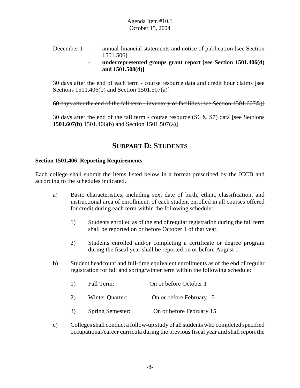December 1 - annual financial statements and notice of publication [see Section] 1501.506]

#### - **underrepresented groups grant report [see Section 1501.406(d) and 1501.508(d)]**

30 days after the end of each term - course resource data and credit hour claims [see Sections 1501.406(b) and Section 1501.507(a)]

60 days after the end of the fall term - inventory of facilities [see Section 1501.607©)]

30 days after the end of the fall term - course resource  $(S6 \& S7)$  data [see Sections] **1501.607(b)** 1501.406(b) and Section 1501.507(a)]

# **SUBPART D: STUDENTS**

#### **Section 1501.406 Reporting Requirements**

Each college shall submit the items listed below in a format prescribed by the ICCB and according to the schedules indicated.

- a) Basic characteristics, including sex, date of birth, ethnic classification, and instructional area of enrollment, of each student enrolled in all courses offered for credit during each term within the following schedule:
	- 1) Students enrolled as of the end of regular registration during the fall term shall be reported on or before October 1 of that year.
	- 2) Students enrolled and/or completing a certificate or degree program during the fiscal year shall be reported on or before August 1.
- b) Student headcount and full-time equivalent enrollments as of the end of regular registration for fall and spring/winter term within the following schedule:

| <sup>1</sup> | Fall Term:              | On or before October 1   |
|--------------|-------------------------|--------------------------|
| 2)           | Winter Quarter:         | On or before February 15 |
| 3)           | <b>Spring Semester:</b> | On or before February 15 |

c) Colleges shall conduct a follow-up study of all students who completed specified occupational/career curricula during the previous fiscal year and shall report the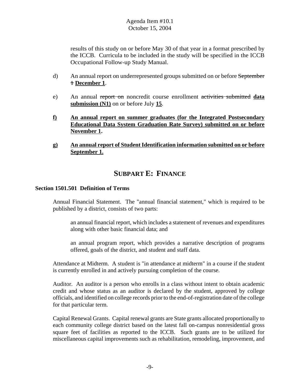results of this study on or before May 30 of that year in a format prescribed by the ICCB. Curricula to be included in the study will be specified in the ICCB Occupational Follow-up Study Manual.

- d) An annual report on underrepresented groups submitted on or before September 1 **December 1**.
- e) An annual report on noncredit course enrollment activities submitted **data submission (N1)** on or before July **15**.
- **f) An annual report on summer graduates (for the Integrated Postsecondary Educational Data System Graduation Rate Survey) submitted on or before November 1.**
- **g) An annual report of Student Identification information submitted on or before September 1.**

# **SUBPART E: FINANCE**

#### **Section 1501.501 Definition of Terms**

Annual Financial Statement. The "annual financial statement," which is required to be published by a district, consists of two parts:

an annual financial report, which includes a statement of revenues and expenditures along with other basic financial data; and

an annual program report, which provides a narrative description of programs offered, goals of the district, and student and staff data.

Attendance at Midterm. A student is "in attendance at midterm" in a course if the student is currently enrolled in and actively pursuing completion of the course.

Auditor. An auditor is a person who enrolls in a class without intent to obtain academic credit and whose status as an auditor is declared by the student, approved by college officials, and identified on college records prior to the end-of-registration date of the college for that particular term.

Capital Renewal Grants. Capital renewal grants are State grants allocated proportionally to each community college district based on the latest fall on-campus nonresidential gross square feet of facilities as reported to the ICCB. Such grants are to be utilized for miscellaneous capital improvements such as rehabilitation, remodeling, improvement, and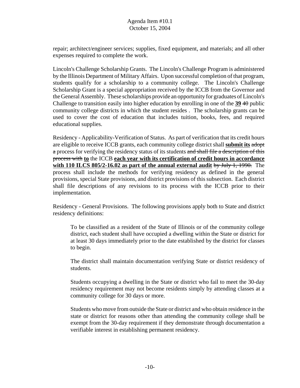repair; architect/engineer services; supplies, fixed equipment, and materials; and all other expenses required to complete the work.

Lincoln's Challenge Scholarship Grants. The Lincoln's Challenge Program is administered by the Illinois Department of Military Affairs. Upon successful completion of that program, students qualify for a scholarship to a community college. The Lincoln's Challenge Scholarship Grant is a special appropriation received by the ICCB from the Governor and the General Assembly. These scholarships provide an opportunity for graduates of Lincoln's Challenge to transition easily into higher education by enrolling in one of the **39** 40 public community college districts in which the student resides . The scholarship grants can be used to cover the cost of education that includes tuition, books, fees, and required educational supplies.

Residency - Applicability-Verification of Status. As part of verification that its credit hours are eligible to receive ICCB grants, each community college district shall **submit its** adopt a process for verifying the residency status of its students and shall file a description of this process with **to** the ICCB **each year with its certification of credit hours in accordance with 110 ILCS 805/2-16.02 as part of the annual external audit** by July 1, 1990. The process shall include the methods for verifying residency as defined in the general provisions, special State provisions, and district provisions of this subsection. Each district shall file descriptions of any revisions to its process with the ICCB prior to their implementation.

Residency - General Provisions. The following provisions apply both to State and district residency definitions:

To be classified as a resident of the State of Illinois or of the community college district, each student shall have occupied a dwelling within the State or district for at least 30 days immediately prior to the date established by the district for classes to begin.

The district shall maintain documentation verifying State or district residency of students.

Students occupying a dwelling in the State or district who fail to meet the 30-day residency requirement may not become residents simply by attending classes at a community college for 30 days or more.

Students who move from outside the State or district and who obtain residence in the state or district for reasons other than attending the community college shall be exempt from the 30-day requirement if they demonstrate through documentation a verifiable interest in establishing permanent residency.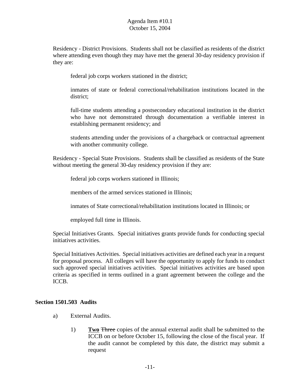Residency - District Provisions. Students shall not be classified as residents of the district where attending even though they may have met the general 30-day residency provision if they are:

federal job corps workers stationed in the district;

inmates of state or federal correctional/rehabilitation institutions located in the district;

full-time students attending a postsecondary educational institution in the district who have not demonstrated through documentation a verifiable interest in establishing permanent residency; and

students attending under the provisions of a chargeback or contractual agreement with another community college.

Residency - Special State Provisions. Students shall be classified as residents of the State without meeting the general 30-day residency provision if they are:

federal job corps workers stationed in Illinois;

members of the armed services stationed in Illinois;

inmates of State correctional/rehabilitation institutions located in Illinois; or

employed full time in Illinois.

Special Initiatives Grants. Special initiatives grants provide funds for conducting special initiatives activities.

Special Initiatives Activities. Special initiatives activities are defined each year in a request for proposal process. All colleges will have the opportunity to apply for funds to conduct such approved special initiatives activities. Special initiatives activities are based upon criteria as specified in terms outlined in a grant agreement between the college and the ICCB.

#### **Section 1501.503 Audits**

- a) External Audits.
	- 1) **Two** Three copies of the annual external audit shall be submitted to the ICCB on or before October 15, following the close of the fiscal year. If the audit cannot be completed by this date, the district may submit a request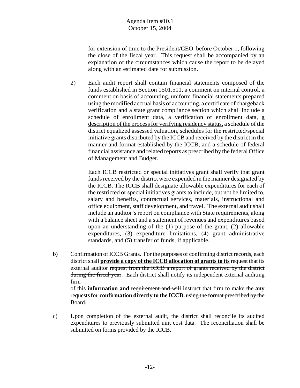for extension of time to the President/CEO before October 1, following the close of the fiscal year. This request shall be accompanied by an explanation of the circumstances which cause the report to be delayed along with an estimated date for submission.

2) Each audit report shall contain financial statements composed of the funds established in Section 1501.511, a comment on internal control, a comment on basis of accounting, uniform financial statements prepared using the modified accrual basis of accounting, a certificate of chargeback verification and a state grant compliance section which shall include a schedule of enrollment data, a verification of enrollment data, a description of the process for verifying residency status, a schedule of the district equalized assessed valuation, schedules for the restricted/special initiative grants distributed by the ICCB and received by the district in the manner and format established by the ICCB, and a schedule of federal financial assistance and related reports as prescribed by the federal Office of Management and Budget.

Each ICCB restricted or special initiatives grant shall verify that grant funds received by the district were expended in the manner designated by the ICCB. The ICCB shall designate allowable expenditures for each of the restricted or special initiatives grants to include, but not be limited to, salary and benefits, contractual services, materials, instructional and office equipment, staff development, and travel. The external audit shall include an auditor's report on compliance with State requirements, along with a balance sheet and a statement of revenues and expenditures based upon an understanding of the (1) purpose of the grant, (2) allowable expenditures, (3) expenditure limitations, (4) grant administrative standards, and (5) transfer of funds, if applicable.

- b) Confirmation of ICCB Grants. For the purposes of confirming district records, each district shall **provide a copy of the ICCB allocation of grants to its** request that its external auditor request from the ICCB a report of grants received by the district during the fiscal year. Each district shall notify its independent external auditing firm of this **information and** requirement and will instruct that firm to make the **any** request**s for confirmation directly to the ICCB.** using the format prescribed by the
- c) Upon completion of the external audit, the district shall reconcile its audited expenditures to previously submitted unit cost data. The reconciliation shall be submitted on forms provided by the ICCB.

Board.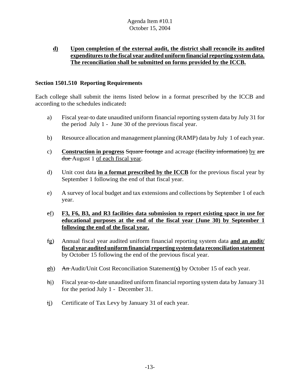# **d) Upon completion of the external audit, the district shall reconcile its audited expenditures to the fiscal year audited uniform financial reporting system data. The reconciliation shall be submitted on forms provided by the ICCB.**

# **Section 1501.510 Reporting Requirements**

Each college shall submit the items listed below in a format prescribed by the ICCB and according to the schedules indicated**:**

- a) Fiscal year-to date unaudited uniform financial reporting system data by July 31 for the period July 1 - June 30 of the previous fiscal year.
- b) Resource allocation and management planning (RAMP) data by July 1 of each year.
- c) **Construction in progress** Square footage and acreage (facility information) by are due August 1 of each fiscal year.
- d) Unit cost data **in a format prescribed by the ICCB** for the previous fiscal year by September 1 following the end of that fiscal year.
- e) A survey of local budget and tax extensions and collections by September 1 of each year.
- ef) **F3, F6, B3, and R3 facilities data submission to report existing space in use for educational purposes at the end of the fiscal year (June 30) by September 1 following the end of the fiscal year.**
- fg) Annual fiscal year audited uniform financial reporting system data **and an audit/ fiscal year audited uniform financial reporting system data reconciliation statement** by October 15 following the end of the previous fiscal year.
- gh) An Audit/Unit Cost Reconciliation Statement(**s)** by October 15 of each year.
- hi) Fiscal year-to-date unaudited uniform financial reporting system data by January 31 for the period July 1 - December 31.
- ij) Certificate of Tax Levy by January 31 of each year.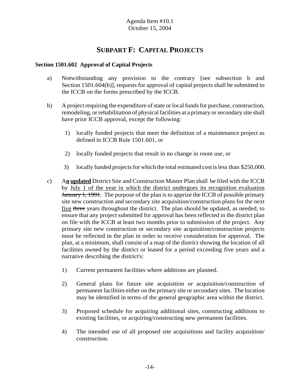# **SUBPART F: CAPITAL PROJECTS**

# **Section 1501.602 Approval of Capital Projects**

- a) Notwithstanding any provision to the contrary [see subsection b and Section 1501.604(b)], requests for approval of capital projects shall be submitted to the ICCB on the forms prescribed by the ICCB.
- b) A project requiring the expenditure of state or local funds for purchase, construction, remodeling, or rehabilitation of physical facilities at a primary or secondary site shall have prior ICCB approval, except the following:
	- 1) locally funded projects that meet the definition of a maintenance project as defined in ICCB Rule 1501.601, or
	- 2) locally funded projects that result in no change in room use, or
	- 3) locally funded projects for which the total estimated cost is less than \$250,000.
- c) A**n updated** District Site and Construction Master Plan shall be filed with the ICCB by July 1 of the year in which the district undergoes its recognition evaluation **January 1, 1991.** The purpose of the plan is to apprize the ICCB of possible primary site new construction and secondary site acquisition/construction plans for the next five three years throughout the district. The plan should be updated, as needed, to ensure that any project submitted for approval has been reflected in the district plan on file with the ICCB at least two months prior to submission of the project. Any primary site new construction or secondary site acquisition/construction projects must be reflected in the plan in order to receive consideration for approval. The plan, at a minimum, shall consist of a map of the district showing the location of all facilities owned by the district or leased for a period exceeding five years and a narrative describing the district's:
	- 1) Current permanent facilities where additions are planned.
	- 2) General plans for future site acquisition or acquisition/construction of permanent facilities either on the primary site or secondary sites. The location may be identified in terms of the general geographic area within the district.
	- 3) Proposed schedule for acquiring additional sites, constructing additions to existing facilities, or acquiring/constructing new permanent facilities.
	- 4) The intended use of all proposed site acquisitions and facility acquisition/ construction.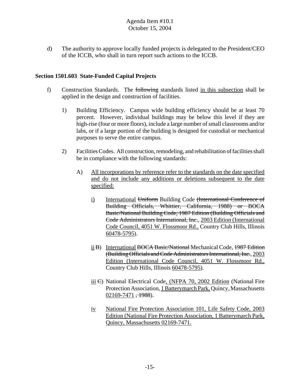d) The authority to approve locally funded projects is delegated to the President/CEO of the ICCB, who shall in turn report such actions to the ICCB.

#### **Section 1501.603 State-Funded Capital Projects**

- f) Construction Standards. The following standards listed in this subsection shall be applied in the design and construction of facilities.
	- 1) Building Efficiency. Campus wide building efficiency should be at least 70 percent. However, individual buildings may be below this level if they are high-rise (four or more floors), include a large number of small classrooms and/or labs, or if a large portion of the building is designed for custodial or mechanical purposes to serve the entire campus.
	- 2) Facilities Codes. All construction, remodeling, and rehabilitation of facilities shall be in compliance with the following standards:
		- A) All incorporations by reference refer to the standards on the date specified and do not include any additions or deletions subsequent to the date specified:
			- i) International Uniform Building Code (International Conference of Building Officials, Whittier, California, 1988) or BOCA Basic/National Building Code, 1987 Edition (Building Officials and Code Administrators International, Inc., 2003 Edition (International Code Council, 4051 W. Flossmoor Rd., Country Club Hills, Illinois 60478-5795).
			- ii B) International BOCA Basic/National Mechanical Code, 1987 Edition (Building Officials and Code Administrators International, Inc., 2003 Edition (International Code Council, 4051 W. Flossmoor Rd., Country Club Hills, Illinois 60478-5795).
			- iii  $\Theta$ ) National Electrical Code, (NFPA 70, 2002 Edition (National Fire Protection Association, 1 Batterymarch Park, Quincy, Massachusetts  $02169-7471, +1988$ ).
			- iv National Fire Protection Association 101, Life Safety Code, 2003 Edition (National Fire Protection Association, 1 Batterymarch Park, Quincy, Massachusetts 02169-7471.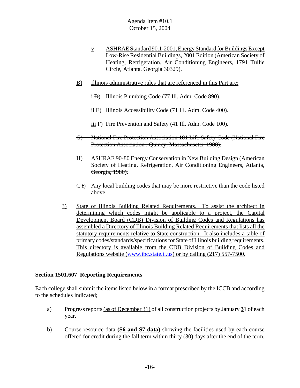- v ASHRAE Standard 90.1-2001, Energy Standard for Buildings Except Low-Rise Residential Buildings, 2001 Edition (American Society of Heating, Refrigeration, Air Conditioning Engineers, 1791 Tullie Circle, Atlanta, Georgia 30329).
- B) Illinois administrative rules that are referenced in this Part are:
	- $\pm$  D) Illinois Plumbing Code (77 Ill. Adm. Code 890).
	- ii E) Illinois Accessibility Code (71 Ill. Adm. Code 400).
	- iii F) Fire Prevention and Safety (41 Ill. Adm. Code 100).
- G) National Fire Protection Association 101 Life Safety Code (National Fire Protection Association , Quincy, Massachusetts, 1988).
- H) ASHRAE 90-80 Energy Conservation in New Building Design (American Society of Heating, Refrigeration, Air Conditioning Engineers, Atlanta, Georgia, 1980).
- C I) Any local building codes that may be more restrictive than the code listed above.
- 3) State of Illinois Building Related Requirements. To assist the architect in determining which codes might be applicable to a project, the Capital Development Board (CDB) Division of Building Codes and Regulations has assembled a Directory of Illinois Building Related Requirements that lists all the statutory requirements relative to State construction. It also includes a table of primary codes/standards/specifications for State of Illinois building requirements. This directory is available from the CDB Division of Building Codes and Regulations website (www.ibc.state.il.us) or by calling (217) 557-7500.

#### **Section 1501.607 Reporting Requirements**

Each college shall submit the items listed below in a format prescribed by the ICCB and according to the schedules indicated;

- a) Progress reports (as of December 31) of all construction projects by January **3**1 of each year.
- b) Course resource data **(S6 and S7 data)** showing the facilities used by each course offered for credit during the fall term within thirty (30) days after the end of the term.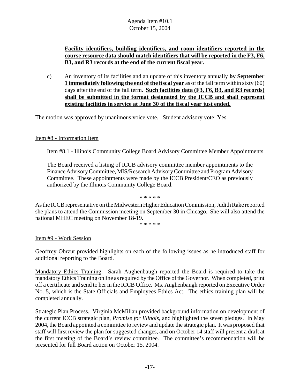# **Facility identifiers, building identifiers, and room identifiers reported in the course resource data should match identifiers that will be reported in the F3, F6, B3, and R3 records at the end of the current fiscal year.**

c) An inventory of its facilities and an update of this inventory annually **by September 1 immediately following the end of the fiscal year** as of the fall term within sixty (60) days after the end of the fall term. **Such facilities data (F3, F6, B3, and R3 records) shall be submitted in the format designated by the ICCB and shall represent existing facilities in service at June 30 of the fiscal year just ended.**

The motion was approved by unanimous voice vote. Student advisory vote: Yes.

Item #8 - Information Item

Item #8.1 - Illinois Community College Board Advisory Committee Member Appointments

The Board received a listing of ICCB advisory committee member appointments to the Finance Advisory Committee, MIS/Research Advisory Committee and Program Advisory Committee. These appointments were made by the ICCB President/CEO as previously authorized by the Illinois Community College Board.

As the ICCB representative on the Midwestern Higher Education Commission, Judith Rake reported she plans to attend the Commission meeting on September 30 in Chicago. She will also attend the national MHEC meeting on November 18-19.

\* \* \* \* \*

\* \* \* \* \*

Item #9 - Work Session

Geoffrey Obrzut provided highlights on each of the following issues as he introduced staff for additional reporting to the Board.

Mandatory Ethics Training. Sarah Aughenbaugh reported the Board is required to take the mandatory Ethics Training online as required by the Office of the Governor. When completed, print off a certificate and send to her in the ICCB Office. Ms. Aughenbaugh reported on Executive Order No. 5, which is the State Officials and Employees Ethics Act. The ethics training plan will be completed annually.

Strategic Plan Process. Virginia McMillan provided background information on development of the current ICCB strategic plan, *Promise for Illinois*, and highlighted the seven pledges. In May 2004, the Board appointed a committee to review and update the strategic plan. It was proposed that staff will first review the plan for suggested changes, and on October 14 staff will present a draft at the first meeting of the Board's review committee. The committee's recommendation will be presented for full Board action on October 15, 2004.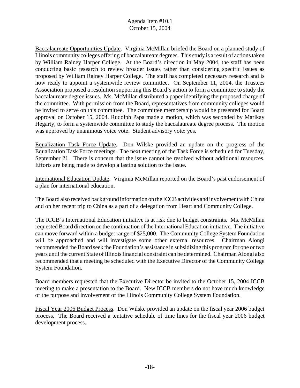Baccalaureate Opportunities Update. Virginia McMillan briefed the Board on a planned study of Illinois community colleges offering of baccalaureate degrees. This study is a result of actions taken by William Rainey Harper College. At the Board's direction in May 2004, the staff has been conducting basic research to review broader issues rather than considering specific issues as proposed by William Rainey Harper College. The staff has completed necessary research and is now ready to appoint a systemwide review committee. On September 11, 2004, the Trustees Association proposed a resolution supporting this Board's action to form a committee to study the baccalaureate degree issues. Ms. McMillan distributed a paper identifying the proposed charge of the committee. With permission from the Board, representatives from community colleges would be invited to serve on this committee. The committee membership would be presented for Board approval on October 15, 2004. Rudolph Papa made a motion, which was seconded by Marikay Hegarty, to form a systemwide committee to study the baccalaureate degree process. The motion was approved by unanimous voice vote. Student advisory vote: yes.

Equalization Task Force Update. Don Wilske provided an update on the progress of the Equalization Task Force meetings. The next meeting of the Task Force is scheduled for Tuesday, September 21. There is concern that the issue cannot be resolved without additional resources. Efforts are being made to develop a lasting solution to the issue.

International Education Update. Virginia McMillan reported on the Board's past endorsement of a plan for international education.

The Board also received background information on the ICCB activities and involvement with China and on her recent trip to China as a part of a delegation from Heartland Community College.

The ICCB's International Education initiative is at risk due to budget constraints. Ms. McMillan requested Board direction on the continuation of the International Education initiative. The initiative can move forward within a budget range of \$25,000. The Community College System Foundation will be approached and will investigate some other external resources. Chairman Alongi recommended the Board seek the Foundation's assistance in subsidizing this program for one or two years until the current State of Illinois financial constraint can be determined. Chairman Alongi also recommended that a meeting be scheduled with the Executive Director of the Community College System Foundation.

Board members requested that the Executive Director be invited to the October 15, 2004 ICCB meeting to make a presentation to the Board. New ICCB members do not have much knowledge of the purpose and involvement of the Illinois Community College System Foundation.

Fiscal Year 2006 Budget Process. Don Wilske provided an update on the fiscal year 2006 budget process. The Board received a tentative schedule of time lines for the fiscal year 2006 budget development process.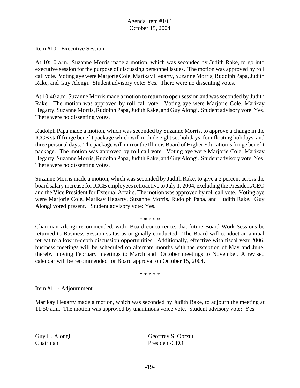#### Item #10 - Executive Session

At 10:10 a.m., Suzanne Morris made a motion, which was seconded by Judith Rake, to go into executive session for the purpose of discussing personnel issues. The motion was approved by roll call vote. Voting aye were Marjorie Cole, Marikay Hegarty, Suzanne Morris, Rudolph Papa, Judith Rake, and Guy Alongi. Student advisory vote: Yes. There were no dissenting votes.

At 10:40 a.m. Suzanne Morris made a motion to return to open session and was seconded by Judith Rake. The motion was approved by roll call vote. Voting aye were Marjorie Cole, Marikay Hegarty, Suzanne Morris, Rudolph Papa, Judith Rake, and Guy Alongi. Student advisory vote: Yes. There were no dissenting votes.

Rudolph Papa made a motion, which was seconded by Suzanne Morris, to approve a change in the ICCB staff fringe benefit package which will include eight set holidays, four floating holidays, and three personal days. The package will mirror the Illinois Board of Higher Education's fringe benefit package. The motion was approved by roll call vote. Voting aye were Marjorie Cole, Marikay Hegarty, Suzanne Morris, Rudolph Papa, Judith Rake, and Guy Alongi. Student advisory vote: Yes. There were no dissenting votes.

Suzanne Morris made a motion, which was seconded by Judith Rake, to give a 3 percent across the board salary increase for ICCB employees retroactive to July 1, 2004, excluding the President/CEO and the Vice President for External Affairs. The motion was approved by roll call vote. Voting aye were Marjorie Cole, Marikay Hegarty, Suzanne Morris, Rudolph Papa, and Judith Rake. Guy Alongi voted present. Student advisory vote: Yes.

\* \* \* \* \*

Chairman Alongi recommended, with Board concurrence, that future Board Work Sessions be returned to Business Session status as originally conducted. The Board will conduct an annual retreat to allow in-depth discussion opportunities. Additionally, effective with fiscal year 2006, business meetings will be scheduled on alternate months with the exception of May and June, thereby moving February meetings to March and October meetings to November. A revised calendar will be recommended for Board approval on October 15, 2004.

\* \* \* \* \*

#### Item #11 - Adjournment

Marikay Hegarty made a motion, which was seconded by Judith Rake, to adjourn the meeting at 11:50 a.m. The motion was approved by unanimous voice vote. Student advisory vote: Yes

Chairman President/CEO

l

Guy H. Alongi Geoffrey S. Obrzut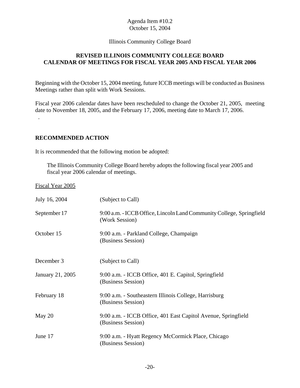#### Illinois Community College Board

# **REVISED ILLINOIS COMMUNITY COLLEGE BOARD CALENDAR OF MEETINGS FOR FISCAL YEAR 2005 AND FISCAL YEAR 2006**

Beginning with the October 15, 2004 meeting, future ICCB meetings will be conducted as Business Meetings rather than split with Work Sessions.

Fiscal year 2006 calendar dates have been rescheduled to change the October 21, 2005, meeting date to November 18, 2005, and the February 17, 2006, meeting date to March 17, 2006. .

#### **RECOMMENDED ACTION**

It is recommended that the following motion be adopted:

The Illinois Community College Board hereby adopts the following fiscal year 2005 and fiscal year 2006 calendar of meetings.

Fiscal Year 2005

| July 16, 2004    | (Subject to Call)                                                                      |
|------------------|----------------------------------------------------------------------------------------|
| September 17     | 9:00 a.m. - ICCB Office, Lincoln Land Community College, Springfield<br>(Work Session) |
| October 15       | 9:00 a.m. - Parkland College, Champaign<br>(Business Session)                          |
| December 3       | (Subject to Call)                                                                      |
| January 21, 2005 | 9:00 a.m. - ICCB Office, 401 E. Capitol, Springfield<br>(Business Session)             |
| February 18      | 9:00 a.m. - Southeastern Illinois College, Harrisburg<br>(Business Session)            |
| May 20           | 9:00 a.m. - ICCB Office, 401 East Capitol Avenue, Springfield<br>(Business Session)    |
| June 17          | 9:00 a.m. - Hyatt Regency McCormick Place, Chicago<br>(Business Session)               |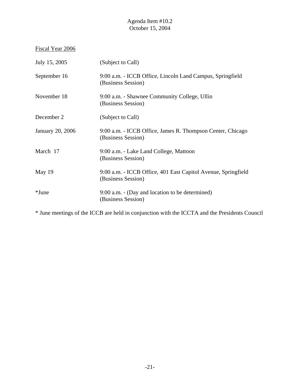# Fiscal Year 2006

| July 15, 2005    | (Subject to Call)                                                                   |
|------------------|-------------------------------------------------------------------------------------|
| September 16     | 9:00 a.m. - ICCB Office, Lincoln Land Campus, Springfield<br>(Business Session)     |
| November 18      | 9:00 a.m. - Shawnee Community College, Ullin<br>(Business Session)                  |
| December 2       | (Subject to Call)                                                                   |
| January 20, 2006 | 9:00 a.m. - ICCB Office, James R. Thompson Center, Chicago<br>(Business Session)    |
| March 17         | 9:00 a.m. - Lake Land College, Mattoon<br>(Business Session)                        |
| May $19$         | 9:00 a.m. - ICCB Office, 401 East Capitol Avenue, Springfield<br>(Business Session) |
| *June            | 9:00 a.m. - (Day and location to be determined)<br>(Business Session)               |

\* June meetings of the ICCB are held in conjunction with the ICCTA and the Presidents Council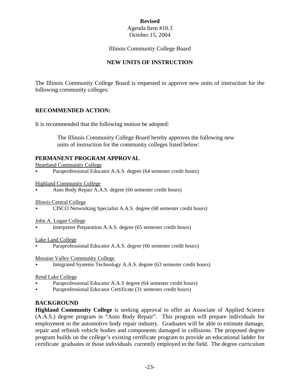# **Revised**

#### Agenda Item #10.3 October 15, 2004

#### Illinois Community College Board

# **NEW UNITS OF INSTRUCTION**

The Illinois Community College Board is requested to approve new units of instruction for the following community colleges:

# **RECOMMENDED ACTION:**

It is recommended that the following motion be adopted:

 The Illinois Community College Board hereby approves the following new units of instruction for the community colleges listed below:

# **PERMANENT PROGRAM APPROVAL**

Heartland Community College

Paraprofessional Educator A.A.S. degree (64 semester credit hours)

Highland Community College

< Auto Body Repair A.A.S. degree (66 semester credit hours)

Illinois Central College

< CISCO Networking Specialist A.A.S. degree (68 semester credit hours)

John A. Logan College

< Interpreter Preparation A.A.S. degree (65 semester credit hours)

#### Lake Land College

Paraprofessional Educator A.A.S. degree (66 semester credit hours)

Moraine Valley Community College

< Integrated Systems Technology A.A.S. degree (63 semester credit hours)

#### Rend Lake College

- Paraprofessional Educator A.A.S degree (64 semester credit hours)
- < Paraprofessional Educator Certificate (31 semester credit hours)

# **BACKGROUND**

**Highland Community College** is seeking approval to offer an Associate of Applied Science (A.A.S.) degree program in "Auto Body Repair". This program will prepare individuals for employment in the automotive body repair industry. Graduates will be able to estimate damage, repair and refinish vehicle bodies and components damaged in collisions. The proposed degree program builds on the college's existing certificate program to provide an educational ladder for certificate graduates or those individuals currently employed in the field. The degree curriculum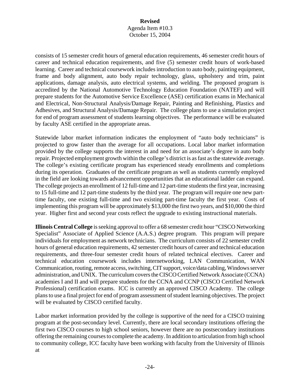consists of 15 semester credit hours of general education requirements, 46 semester credit hours of career and technical education requirements, and five (5) semester credit hours of work-based learning. Career and technical coursework includes introduction to auto body, painting equipment, frame and body alignment, auto body repair technology, glass, upholstery and trim, paint applications, damage analysis, auto electrical systems, and welding. The proposed program is accredited by the National Automotive Technology Education Foundation (NATEF) and will prepare students for the Automotive Service Excellence (ASE) certification exams in Mechanical and Electrical, Non-Structural Analysis/Damage Repair, Painting and Refinishing, Plastics and Adhesives, and Structural Analysis/Damage Repair. The college plans to use a simulation project for end of program assessment of students learning objectives. The performance will be evaluated by faculty ASE certified in the appropriate areas.

Statewide labor market information indicates the employment of "auto body technicians" is projected to grow faster than the average for all occupations. Local labor market information provided by the college supports the interest in and need for an associate's degree in auto body repair. Projected employment growth within the college's district is as fast as the statewide average. The college's existing certificate program has experienced steady enrollments and completions during its operation. Graduates of the certificate program as well as students currently employed in the field are looking towards advancement opportunities that an educational ladder can expand. The college projects an enrollment of 12 full-time and 12 part-time students the first year, increasing to 15 full-time and 12 part-time students by the third year. The program will require one new parttime faculty, one existing full-time and two existing part-time faculty the first year. Costs of implementing this program will be approximately \$13,000 the first two years, and \$10,000 the third year. Higher first and second year costs reflect the upgrade to existing instructional materials.

**Illinois Central College** is seeking approval to offer a 68 semester credit hour "CISCO Networking Specialist" Associate of Applied Science (A.A.S.) degree program. This program will prepare individuals for employment as network technicians. The curriculum consists of 22 semester credit hours of general education requirements, 42 semester credit hours of career and technical education requirements, and three-four semester credit hours of related technical electives. Career and technical education coursework includes internetworking, LAN Communication, WAN Communication, routing, remote access, switching, CIT support, voice/data cabling, Windows server administration, and UNIX. The curriculum covers the CISCO Certified Network Associate (CCNA) academies I and II and will prepare students for the CCNA and CCNP (CISCO Certified Network Professional) certification exams. ICC is currently an approved CISCO Academy. The college plans to use a final project for end of program assessment of student learning objectives. The project will be evaluated by CISCO certified faculty.

Labor market information provided by the college is supportive of the need for a CISCO training program at the post-secondary level. Currently, there are local secondary institutions offering the first two CISCO courses to high school seniors, however there are no postsecondary institutions offering the remaining courses to complete the academy. In addition to articulation from high school to community college, ICC faculty have been working with faculty from the University of Illinois at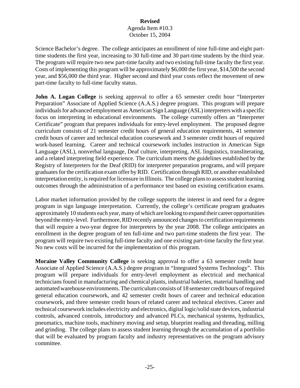Science Bachelor's degree. The college anticipates an enrollment of nine full-time and eight parttime students the first year, increasing to 30 full-time and 30 part-time students by the third year. The program will require two new part-time faculty and two existing full-time faculty the first year. Costs of implementing this program will be approximately \$6,000 the first year, \$14,500 the second year, and \$56,000 the third year. Higher second and third year costs reflect the movement of new part-time faculty to full-time faculty status.

**John A. Logan College** is seeking approval to offer a 65 semester credit hour "Interpreter Preparation" Associate of Applied Science (A.A.S.) degree program. This program will prepare individuals for advanced employment as American Sign Language (ASL) interpreters with a specific focus on interpreting in educational environments. The college currently offers an "Interpreter Certificate" program that prepares individuals for entry-level employment. The proposed degree curriculum consists of 21 semester credit hours of general education requirements, 41 semester credit hours of career and technical education coursework and 3 semester credit hours of required work-based learning. Career and technical coursework includes instruction in American Sign Language (ASL), nonverbal language, Deaf culture, interpreting, ASL linguistics, transliterating, and a related interpreting field experience. The curriculum meets the guidelines established by the Registry of Interpreters for the Deaf (RID) for interpreter preparation programs, and will prepare graduates for the certification exam offer by RID. Certification through RID, or another established interpretation entity, is required for licensure in Illinois. The college plans to assess student learning outcomes through the administration of a performance test based on existing certification exams.

Labor market information provided by the college supports the interest in and need for a degree program in sign language interpretation. Currently, the college's certificate program graduates approximately 10 students each year, many of which are looking to expand their career opportunities beyond the entry-level. Furthermore, RID recently announced changes to certification requirements that will require a two-year degree for interpreters by the year 2008. The college anticipates an enrollment in the degree program of ten full-time and two part-time students the first year. The program will require two existing full-time faculty and one existing part-time faculty the first year. No new costs will be incurred for the implementation of this program.

**Moraine Valley Community College** is seeking approval to offer a 63 semester credit hour Associate of Applied Science (A.A.S.) degree program in "Integrated Systems Technology". This program will prepare individuals for entry-level employment as electrical and mechanical technicians found in manufacturing and chemical plants, industrial bakeries, material handling and automated warehouse environments. The curriculum consists of 18 semester credit hours of required general education coursework, and 42 semester credit hours of career and technical education coursework, and three semester credit hours of related career and technical electives. Career and technical coursework includes electricity and electronics, digital logic/solid state devices, industrial controls, advanced controls, introductory and advanced PLCs, mechanical systems, hydraulics, pneumatics, machine tools, machinery moving and setup, blueprint reading and threading, milling and grinding. The college plans to assess student learning through the accumulation of a portfolio that will be evaluated by program faculty and industry representatives on the program advisory committee.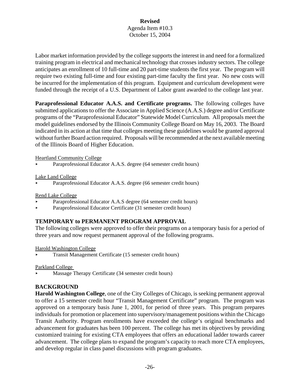Labor market information provided by the college supports the interest in and need for a formalized training program in electrical and mechanical technology that crosses industry sectors. The college anticipates an enrollment of 10 full-time and 20 part-time students the first year. The program will require two existing full-time and four existing part-time faculty the first year. No new costs will be incurred for the implementation of this program. Equipment and curriculum development were funded through the receipt of a U.S. Department of Labor grant awarded to the college last year.

Paraprofessional Educator A.A.S. and Certificate programs. The following colleges have submitted applications to offer the Associate in Applied Science (A.A.S.) degree and/or Certificate programs of the "Paraprofessional Educator" Statewide Model Curriculum. All proposals meet the model guidelines endorsed by the Illinois Community College Board on May 16, 2003. The Board indicated in its action at that time that colleges meeting these guidelines would be granted approval without further Board action required. Proposals will be recommended at the next available meeting of the Illinois Board of Higher Education.

Heartland Community College

< Paraprofessional Educator A.A.S. degree (64 semester credit hours)

Lake Land College

Paraprofessional Educator A.A.S. degree (66 semester credit hours)

Rend Lake College

- < Paraprofessional Educator A.A.S degree (64 semester credit hours)
- < Paraprofessional Educator Certificate (31 semester credit hours)

# **TEMPORARY to PERMANENT PROGRAM APPROVAL**

The following colleges were approved to offer their programs on a temporary basis for a period of three years and now request permanent approval of the following programs.

Harold Washington College

< Transit Management Certificate (15 semester credit hours)

Parkland College

< Massage Therapy Certificate (34 semester credit hours)

# **BACKGROUND**

**Harold Washington College**, one of the City Colleges of Chicago, is seeking permanent approval to offer a 15 semester credit hour "Transit Management Certificate" program. The program was approved on a temporary basis June 1, 2001, for period of three years. This program prepares individuals for promotion or placement into supervisory/management positions within the Chicago Transit Authority. Program enrollments have exceeded the college's original benchmarks and advancement for graduates has been 100 percent. The college has met its objectives by providing customized training for existing CTA employees that offers an educational ladder towards career advancement. The college plans to expand the program's capacity to reach more CTA employees, and develop regular in class panel discussions with program graduates.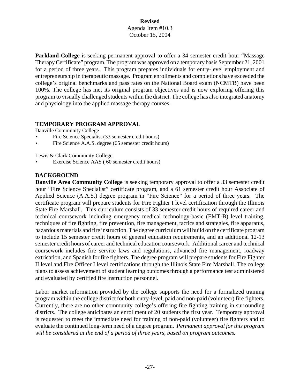**Parkland College** is seeking permanent approval to offer a 34 semester credit hour "Massage" Therapy Certificate" program. The program was approved on a temporary basis September 21, 2001 for a period of three years. This program prepares individuals for entry-level employment and entrepreneurship in therapeutic massage. Program enrollments and completions have exceeded the college's original benchmarks and pass rates on the National Board exam (NCMTB) have been 100%. The college has met its original program objectives and is now exploring offering this program to visually challenged students within the district. The college has also integrated anatomy and physiology into the applied massage therapy courses.

#### **TEMPORARY PROGRAM APPROVAL**

Danville Community College

- Fire Science Specialist (33 semester credit hours)
- Fire Science A.A.S. degree (65 semester credit hours)

Lewis & Clark Community College

Exercise Science AAS (60 semester credit hours)

# **BACKGROUND**

**Danville Area Community College** is seeking temporary approval to offer a 33 semester credit hour "Fire Science Specialist" certificate program, and a 61 semester credit hour Associate of Applied Science (A.A.S.) degree program in "Fire Science" for a period of three years. The certificate program will prepare students for Fire Fighter I level certification through the Illinois State Fire Marshall. This curriculum consists of 33 semester credit hours of required career and technical coursework including emergency medical technology-basic (EMT-B) level training, techniques of fire fighting, fire prevention, fire management, tactics and strategies, fire apparatus, hazardous materials and fire instruction. The degree curriculum will build on the certificate program to include 15 semester credit hours of general education requirements, and an additional 12-13 semester credit hours of career and technical education coursework. Additional career and technical coursework includes fire service laws and regulations, advanced fire management, roadway extrication, and Spanish for fire fighters. The degree program will prepare students for Fire Fighter II level and Fire Officer I level certifications through the Illinois State Fire Marshall. The college plans to assess achievement of student learning outcomes through a performance test administered and evaluated by certified fire instruction personnel.

Labor market information provided by the college supports the need for a formalized training program within the college district for both entry-level, paid and non-paid (volunteer) fire fighters. Currently, there are no other community college's offering fire fighting training in surrounding districts. The college anticipates an enrollment of 20 students the first year. Temporary approval is requested to meet the immediate need for training of non-paid (volunteer) fire fighters and to evaluate the continued long-term need of a degree program. *Permanent approval for this program will be considered at the end of a period of three years, based on program outcomes.*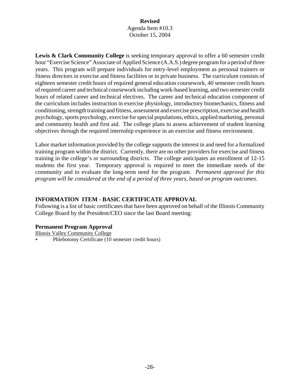**Lewis & Clark Community College** is seeking temporary approval to offer a 60 semester credit hour "Exercise Science" Associate of Applied Science (A.A.S.) degree program for a period of three years. This program will prepare individuals for entry-level employment as personal trainers or fitness directors in exercise and fitness facilities or in private business. The curriculum consists of eighteen semester credit hours of required general education coursework, 40 semester credit hours of required career and technical coursework including work-based learning, and two semester credit hours of related career and technical electives. The career and technical education component of the curriculum includes instruction in exercise physiology, introductory biomechanics, fitness and conditioning, strength training and fitness, assessment and exercise prescription, exercise and health psychology, sports psychology, exercise for special populations, ethics, applied marketing, personal and community health and first aid. The college plans to assess achievement of student learning objectives through the required internship experience in an exercise and fitness environment.

Labor market information provided by the college supports the interest in and need for a formalized training program within the district. Currently, there are no other providers for exercise and fitness training in the college's or surrounding districts. The college anticipates an enrollment of 12-15 students the first year. Temporary approval is required to meet the immediate needs of the community and to evaluate the long-term need for the program. *Permanent approval for this program will be considered at the end of a period of three years, based on program outcomes.* 

# **INFORMATION ITEM - BASIC CERTIFICATE APPROVAL**

Following is a list of basic certificates that have been approved on behalf of the Illinois Community College Board by the President/CEO since the last Board meeting:

# **Permanent Program Approval**

Illinois Valley Community College

< Phlebotomy Certificate (10 semester credit hours)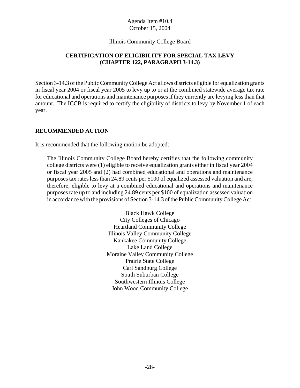#### Illinois Community College Board

# **CERTIFICATION OF ELIGIBILITY FOR SPECIAL TAX LEVY (CHAPTER 122, PARAGRAPH 3-14.3)**

Section 3-14.3 of the Public Community College Act allows districts eligible for equalization grants in fiscal year 2004 or fiscal year 2005 to levy up to or at the combined statewide average tax rate for educational and operations and maintenance purposes if they currently are levying less than that amount. The ICCB is required to certify the eligibility of districts to levy by November 1 of each year.

#### **RECOMMENDED ACTION**

It is recommended that the following motion be adopted:

The Illinois Community College Board hereby certifies that the following community college districts were (1) eligible to receive equalization grants either in fiscal year 2004 or fiscal year 2005 and (2) had combined educational and operations and maintenance purposes tax rates less than 24.89 cents per \$100 of equalized assessed valuation and are, therefore, eligible to levy at a combined educational and operations and maintenance purposes rate up to and including 24.89 cents per \$100 of equalization assessed valuation in accordance with the provisions of Section 3-14.3 of the Public Community College Act:

> Black Hawk College City Colleges of Chicago Heartland Community College Illinois Valley Community College Kankakee Community College Lake Land College Moraine Valley Community College Prairie State College Carl Sandburg College South Suburban College Southwestern Illinois College John Wood Community College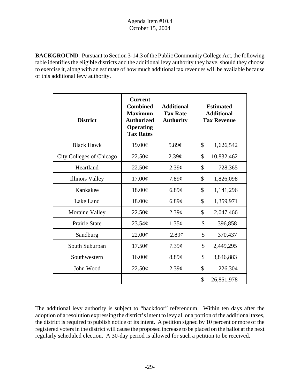**BACKGROUND**. Pursuant to Section 3-14.3 of the Public Community College Act, the following table identifies the eligible districts and the additional levy authority they have, should they choose to exercise it, along with an estimate of how much additional tax revenues will be available because of this additional levy authority.

| <b>District</b>          | <b>Current</b><br><b>Combined</b><br><b>Maximum</b><br><b>Authorized</b><br><b>Operating</b><br><b>Tax Rates</b> | <b>Additional</b><br><b>Tax Rate</b><br><b>Authority</b> | <b>Estimated</b><br><b>Additional</b><br><b>Tax Revenue</b> |
|--------------------------|------------------------------------------------------------------------------------------------------------------|----------------------------------------------------------|-------------------------------------------------------------|
| <b>Black Hawk</b>        | 19.00¢                                                                                                           | $5.89\mathcal{C}$                                        | \$<br>1,626,542                                             |
| City Colleges of Chicago | 22.50¢                                                                                                           | $2.39\mathcal{C}$                                        | \$<br>10,832,462                                            |
| Heartland                | $22.50\text{\textdegree}$                                                                                        | $2.39\mathcal{C}$                                        | \$<br>728,365                                               |
| <b>Illinois Valley</b>   | $17.00\text{\textdegree}$                                                                                        | $7.89\mathcal{C}$                                        | \$<br>1,826,098                                             |
| Kankakee                 | 18.00¢                                                                                                           | 6.89¢                                                    | \$<br>1,141,296                                             |
| Lake Land                | 18.00¢                                                                                                           | $6.89\textcirc$                                          | \$<br>1,359,971                                             |
| Moraine Valley           | 22.50¢                                                                                                           | $2.39\mathcal{C}$                                        | \$<br>2,047,466                                             |
| <b>Prairie State</b>     | $23.54\mathcal{C}$                                                                                               | $1.35\phi$                                               | \$<br>396,858                                               |
| Sandburg                 | $22.00\text{\textdegree}$                                                                                        | $2.89\mathcal{C}$                                        | \$<br>370,437                                               |
| South Suburban           | 17.50¢                                                                                                           | 7.39 <sub>c</sub>                                        | \$<br>2,449,295                                             |
| Southwestern             | $16.00\phi$                                                                                                      | 8.89¢                                                    | \$<br>3,846,883                                             |
| John Wood                | 22.50¢                                                                                                           | 2.39 <sub>c</sub>                                        | \$<br>226,304                                               |
|                          |                                                                                                                  |                                                          | \$<br>26,851,978                                            |

The additional levy authority is subject to "backdoor" referendum. Within ten days after the adoption of a resolution expressing the district's intent to levy all or a portion of the additional taxes, the district is required to publish notice of its intent. A petition signed by 10 percent or more of the registered voters in the district will cause the proposed increase to be placed on the ballot at the next regularly scheduled election. A 30-day period is allowed for such a petition to be received.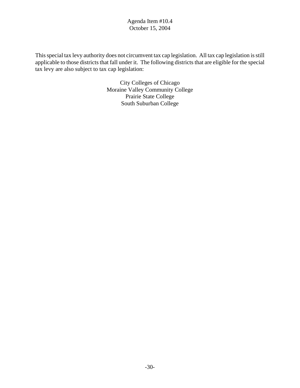This special tax levy authority does not circumvent tax cap legislation. All tax cap legislation is still applicable to those districts that fall under it. The following districts that are eligible for the special tax levy are also subject to tax cap legislation:

> City Colleges of Chicago Moraine Valley Community College Prairie State College South Suburban College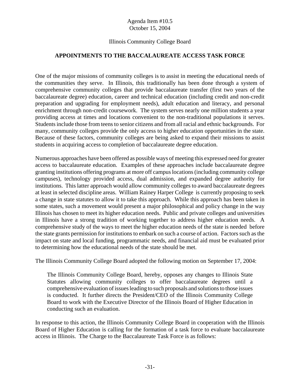# Illinois Community College Board

# **APPOINTMENTS TO THE BACCALAUREATE ACCESS TASK FORCE**

One of the major missions of community colleges is to assist in meeting the educational needs of the communities they serve. In Illinois, this traditionally has been done through a system of comprehensive community colleges that provide baccalaureate transfer (first two years of the baccalaureate degree) education, career and technical education (including credit and non-credit preparation and upgrading for employment needs), adult education and literacy, and personal enrichment through non-credit coursework. The system serves nearly one million students a year providing access at times and locations convenient to the non-traditional populations it serves. Students include those from teens to senior citizens and from all racial and ethnic backgrounds. For many, community colleges provide the only access to higher education opportunities in the state. Because of these factors, community colleges are being asked to expand their missions to assist students in acquiring access to completion of baccalaureate degree education.

Numerous approaches have been offered as possible ways of meeting this expressed need for greater access to baccalaureate education. Examples of these approaches include baccalaureate degree granting institutions offering programs at more off campus locations (including community college campuses), technology provided access, dual admission, and expanded degree authority for institutions. This latter approach would allow community colleges to award baccalaureate degrees at least in selected discipline areas. William Rainey Harper College is currently proposing to seek a change in state statutes to allow it to take this approach. While this approach has been taken in some states, such a movement would present a major philosophical and policy change in the way Illinois has chosen to meet its higher education needs. Public and private colleges and universities in Illinois have a strong tradition of working together to address higher education needs. A comprehensive study of the ways to meet the higher education needs of the state is needed before the state grants permission for institutions to embark on such a course of action. Factors such as the impact on state and local funding, programmatic needs, and financial aid must be evaluated prior to determining how the educational needs of the state should be met.

The Illinois Community College Board adopted the following motion on September 17, 2004:

The Illinois Community College Board, hereby, opposes any changes to Illinois State Statutes allowing community colleges to offer baccalaureate degrees until a comprehensive evaluation of issues leading to such proposals and solutions to those issues is conducted. It further directs the President/CEO of the Illinois Community College Board to work with the Executive Director of the Illinois Board of Higher Education in conducting such an evaluation.

In response to this action, the Illinois Community College Board in cooperation with the Illinois Board of Higher Education is calling for the formation of a task force to evaluate baccalaureate access in Illinois. The Charge to the Baccalaureate Task Force is as follows: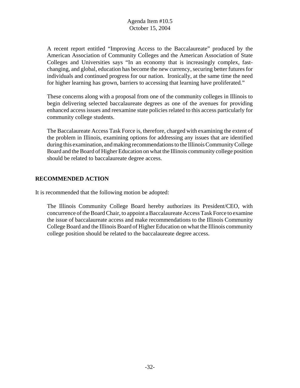A recent report entitled "Improving Access to the Baccalaureate" produced by the American Association of Community Colleges and the American Association of State Colleges and Universities says "In an economy that is increasingly complex, fastchanging, and global, education has become the new currency, securing better futures for individuals and continued progress for our nation. Ironically, at the same time the need for higher learning has grown, barriers to accessing that learning have proliferated."

These concerns along with a proposal from one of the community colleges in Illinois to begin delivering selected baccalaureate degrees as one of the avenues for providing enhanced access issues and reexamine state policies related to this access particularly for community college students.

The Baccalaureate Access Task Force is, therefore, charged with examining the extent of the problem in Illinois, examining options for addressing any issues that are identified during this examination, and making recommendations to the Illinois Community College Board and the Board of Higher Education on what the Illinois community college position should be related to baccalaureate degree access.

# **RECOMMENDED ACTION**

It is recommended that the following motion be adopted:

The Illinois Community College Board hereby authorizes its President/CEO, with concurrence of the Board Chair, to appoint a Baccalaureate Access Task Force to examine the issue of baccalaureate access and make recommendations to the Illinois Community College Board and the Illinois Board of Higher Education on what the Illinois community college position should be related to the baccalaureate degree access.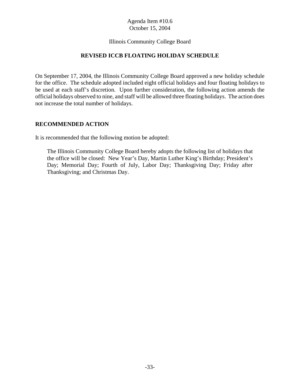#### Illinois Community College Board

#### **REVISED ICCB FLOATING HOLIDAY SCHEDULE**

On September 17, 2004, the Illinois Community College Board approved a new holiday schedule for the office. The schedule adopted included eight official holidays and four floating holidays to be used at each staff's discretion. Upon further consideration, the following action amends the official holidays observed to nine, and staff will be allowed three floating holidays. The action does not increase the total number of holidays.

#### **RECOMMENDED ACTION**

It is recommended that the following motion be adopted:

The Illinois Community College Board hereby adopts the following list of holidays that the office will be closed: New Year's Day, Martin Luther King's Birthday; President's Day; Memorial Day; Fourth of July, Labor Day; Thanksgiving Day; Friday after Thanksgiving; and Christmas Day.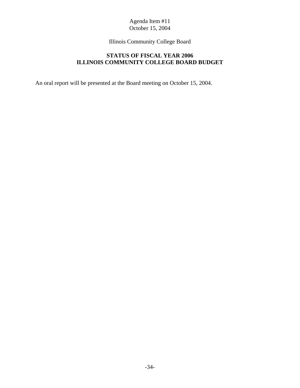Illinois Community College Board

# **STATUS OF FISCAL YEAR 2006 ILLINOIS COMMUNITY COLLEGE BOARD BUDGET**

An oral report will be presented at the Board meeting on October 15, 2004.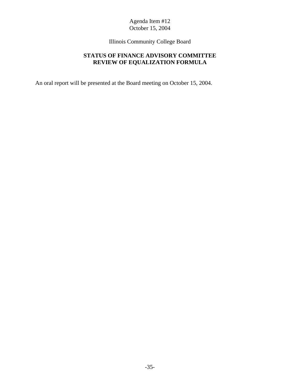Illinois Community College Board

# **STATUS OF FINANCE ADVISORY COMMITTEE REVIEW OF EQUALIZATION FORMULA**

An oral report will be presented at the Board meeting on October 15, 2004.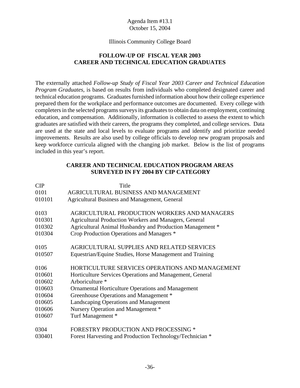#### Illinois Community College Board

# **FOLLOW-UP OF FISCAL YEAR 2003 CAREER AND TECHNICAL EDUCATION GRADUATES**

The externally attached *Follow-up Study of Fiscal Year 2003 Career and Technical Education Program Graduates,* is based on results from individuals who completed designated career and technical education programs. Graduates furnished information about how their college experience prepared them for the workplace and performance outcomes are documented. Every college with completers in the selected programs surveys its graduates to obtain data on employment, continuing education, and compensation. Additionally, information is collected to assess the extent to which graduates are satisfied with their careers, the programs they completed, and college services. Data are used at the state and local levels to evaluate programs and identify and prioritize needed improvements. Results are also used by college officials to develop new program proposals and keep workforce curricula aligned with the changing job market. Below is the list of programs included in this year's report.

#### **CAREER AND TECHNICAL EDUCATION PROGRAM AREAS SURVEYED IN FY 2004 BY CIP CATEGORY**

| CIP    | Title                                                        |
|--------|--------------------------------------------------------------|
| 0101   | AGRICULTURAL BUSINESS AND MANAGEMENT                         |
| 010101 | <b>Agricultural Business and Management, General</b>         |
| 0103   | AGRICULTURAL PRODUCTION WORKERS AND MANAGERS                 |
| 010301 |                                                              |
|        | <b>Agricultural Production Workers and Managers, General</b> |
| 010302 | Agricultural Animal Husbandry and Production Management *    |
| 010304 | Crop Production Operations and Managers *                    |
| 0105   | AGRICULTURAL SUPPLIES AND RELATED SERVICES                   |
| 010507 |                                                              |
|        | Equestrian/Equine Studies, Horse Management and Training     |
| 0106   | HORTICULTURE SERVICES OPERATIONS AND MANAGEMENT              |
| 010601 | Horticulture Services Operations and Management, General     |
| 010602 | Arboriculture *                                              |
| 010603 | <b>Ornamental Horticulture Operations and Management</b>     |
| 010604 | Greenhouse Operations and Management *                       |
| 010605 | Landscaping Operations and Management                        |
| 010606 | Nursery Operation and Management *                           |
| 010607 | Turf Management *                                            |
|        |                                                              |
| 0304   | <b>FORESTRY PRODUCTION AND PROCESSING *</b>                  |
| 030401 | Forest Harvesting and Production Technology/Technician *     |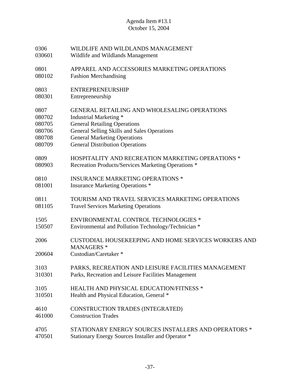| 0306           | WILDLIFE AND WILDLANDS MANAGEMENT                                                                        |
|----------------|----------------------------------------------------------------------------------------------------------|
| 030601         | Wildlife and Wildlands Management                                                                        |
| 0801           | APPAREL AND ACCESSORIES MARKETING OPERATIONS                                                             |
| 080102         | <b>Fashion Merchandising</b>                                                                             |
| 0803           | <b>ENTREPRENEURSHIP</b>                                                                                  |
| 080301         | Entrepreneurship                                                                                         |
| 0807           | <b>GENERAL RETAILING AND WHOLESALING OPERATIONS</b>                                                      |
| 080702         | Industrial Marketing *                                                                                   |
| 080705         | <b>General Retailing Operations</b>                                                                      |
| 080706         | General Selling Skills and Sales Operations                                                              |
| 080708         | <b>General Marketing Operations</b>                                                                      |
| 080709         | <b>General Distribution Operations</b>                                                                   |
| 0809           | <b>HOSPITALITY AND RECREATION MARKETING OPERATIONS *</b>                                                 |
| 080903         | Recreation Products/Services Marketing Operations *                                                      |
| 0810           | <b>INSURANCE MARKETING OPERATIONS *</b>                                                                  |
| 081001         | <b>Insurance Marketing Operations *</b>                                                                  |
| 0811           | TOURISM AND TRAVEL SERVICES MARKETING OPERATIONS                                                         |
| 081105         | <b>Travel Services Marketing Operations</b>                                                              |
| 1505           | <b>ENVIRONMENTAL CONTROL TECHNOLOGIES *</b>                                                              |
| 150507         | Environmental and Pollution Technology/Technician *                                                      |
| 2006<br>200604 | <b>CUSTODIAL HOUSEKEEPING AND HOME SERVICES WORKERS AND</b><br><b>MANAGERS*</b><br>Custodian/Caretaker * |
| 3103           | PARKS, RECREATION AND LEISURE FACILITIES MANAGEMENT                                                      |
| 310301         | Parks, Recreation and Leisure Facilities Management                                                      |
| 3105           | <b>HEALTH AND PHYSICAL EDUCATION/FITNESS *</b>                                                           |
| 310501         | Health and Physical Education, General *                                                                 |
| 4610           | CONSTRUCTION TRADES (INTEGRATED)                                                                         |
| 461000         | <b>Construction Trades</b>                                                                               |
| 4705           | STATIONARY ENERGY SOURCES INSTALLERS AND OPERATORS *                                                     |
| 470501         | Stationary Energy Sources Installer and Operator *                                                       |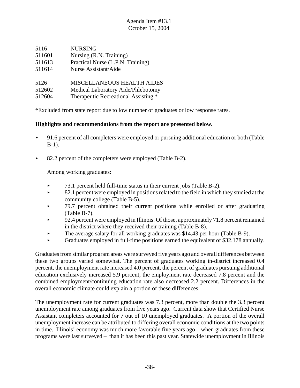| 5116   | <b>NURSING</b>                       |
|--------|--------------------------------------|
| 511601 | Nursing (R.N. Training)              |
| 511613 | Practical Nurse (L.P.N. Training)    |
| 511614 | Nurse Assistant/Aide                 |
| 5126   | <b>MISCELLANEOUS HEALTH AIDES</b>    |
| 512602 | Medical Laboratory Aide/Phlebotomy   |
| 512604 | Therapeutic Recreational Assisting * |
|        |                                      |

\*Excluded from state report due to low number of graduates or low response rates.

# **Highlights and recommendations from the report are presented below.**

- $\rightarrow$  91.6 percent of all completers were employed or pursuing additional education or both (Table B-1).
- ▶ 82.2 percent of the completers were employed (Table B-2).

Among working graduates:

- $\blacktriangleright$  73.1 percent held full-time status in their current jobs (Table B-2).
- $\blacktriangleright$  82.1 percent were employed in positions related to the field in which they studied at the community college (Table B-5).
- $\blacktriangleright$  79.7 percent obtained their current positions while enrolled or after graduating (Table B-7).
- < 92.4 percent were employed in Illinois. Of those, approximately 71.8 percent remained in the district where they received their training (Table B-8).
- $\blacktriangleright$  The average salary for all working graduates was \$14.43 per hour (Table B-9).
- $\blacktriangleright$  Graduates employed in full-time positions earned the equivalent of \$32,178 annually.

Graduates from similar program areas were surveyed five years ago and overall differences between these two groups varied somewhat. The percent of graduates working in-district increased 0.4 percent, the unemployment rate increased 4.0 percent, the percent of graduates pursuing additional education exclusively increased 5.9 percent, the employment rate decreased 7.8 percent and the combined employment/continuing education rate also decreased 2.2 percent. Differences in the overall economic climate could explain a portion of these differences.

The unemployment rate for current graduates was 7.3 percent, more than double the 3.3 percent unemployment rate among graduates from five years ago. Current data show that Certified Nurse Assistant completers accounted for 7 out of 10 unemployed graduates. A portion of the overall unemployment increase can be attributed to differing overall economic conditions at the two points in time. Illinois' economy was much more favorable five years ago – when graduates from these programs were last surveyed – than it has been this past year. Statewide unemployment in Illinois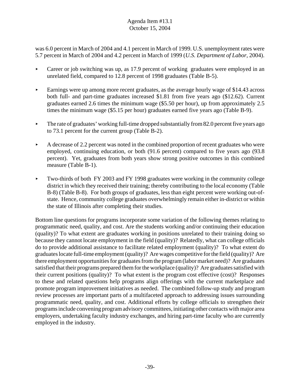was 6.0 percent in March of 2004 and 4.1 percent in March of 1999. U.S. unemployment rates were 5.7 percent in March of 2004 and 4.2 percent in March of 1999 (*U.S. Department of Labor*, 2004).

- Career or job switching was up, as 17.9 percent of working graduates were employed in an unrelated field, compared to 12.8 percent of 1998 graduates (Table B-5).
- Earnings were up among more recent graduates, as the average hourly wage of \$14.43 across both full- and part-time graduates increased \$1.81 from five years ago (\$12.62). Current graduates earned 2.6 times the minimum wage (\$5.50 per hour), up from approximately 2.5 times the minimum wage (\$5.15 per hour) graduates earned five years ago (Table B-9).
- $\blacktriangleright$  The rate of graduates' working full-time dropped substantially from 82.0 percent five years ago to 73.1 percent for the current group (Table B-2).
- $\blacktriangleright$  A decrease of 2.2 percent was noted in the combined proportion of recent graduates who were employed, continuing education, or both (91.6 percent) compared to five years ago (93.8 percent). Yet, graduates from both years show strong positive outcomes in this combined measure (Table B-1).
- Two-thirds of both FY 2003 and FY 1998 graduates were working in the community college district in which they received their training; thereby contributing to the local economy (Table B-8) (Table B-8). For both groups of graduates, less than eight percent were working out-ofstate. Hence, community college graduates overwhelmingly remain either in-district or within the state of Illinois after completing their studies.

Bottom line questions for programs incorporate some variation of the following themes relating to programmatic need, quality, and cost. Are the students working and/or continuing their education (quality)? To what extent are graduates working in positions unrelated to their training doing so because they cannot locate employment in the field (quality)? Relatedly, what can college officials do to provide additional assistance to facilitate related employment (quality)? To what extent do graduates locate full-time employment (quality)? Are wages competitive for the field (quality)? Are there employment opportunities for graduates from the program (labor market need)? Are graduates satisfied that their programs prepared them for the workplace (quality)? Are graduates satisfied with their current positions (quality)? To what extent is the program cost effective (cost)? Responses to these and related questions help programs align offerings with the current marketplace and promote program improvement initiatives as needed. The combined follow-up study and program review processes are important parts of a multifaceted approach to addressing issues surrounding programmatic need, quality, and cost. Additional efforts by college officials to strengthen their programs include convening program advisory committees, initiating other contacts with major area employers, undertaking faculty industry exchanges, and hiring part-time faculty who are currently employed in the industry.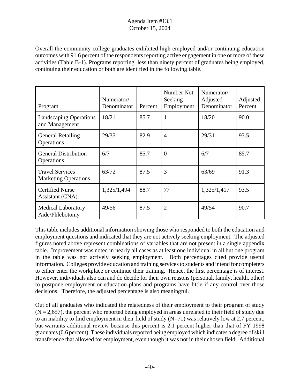Overall the community college graduates exhibited high employed and/or continuing education outcomes with 91.6 percent of the respondents reporting active engagement in one or more of these activities (Table B-1). Programs reporting less than ninety percent of graduates being employed, continuing their education or both are identified in the following table.

| Program                                               | Numerator/<br>Denominator | Percent | Number Not<br>Seeking<br>Employment | Numerator/<br>Adjusted<br>Denominator | Adjusted<br>Percent |
|-------------------------------------------------------|---------------------------|---------|-------------------------------------|---------------------------------------|---------------------|
| <b>Landscaping Operations</b><br>and Management       | 18/21                     | 85.7    | $\mathbf{1}$                        | 18/20                                 | 90.0                |
| <b>General Retailing</b><br>Operations                | 29/35                     | 82.9    | $\overline{4}$                      | 29/31                                 | 93.5                |
| <b>General Distribution</b><br>Operations             | 6/7                       | 85.7    | $\overline{0}$                      | 6/7                                   | 85.7                |
| <b>Travel Services</b><br><b>Marketing Operations</b> | 63/72                     | 87.5    | 3                                   | 63/69                                 | 91.3                |
| <b>Certified Nurse</b><br>Assistant (CNA)             | 1,325/1,494               | 88.7    | 77                                  | 1,325/1,417                           | 93.5                |
| <b>Medical Laboratory</b><br>Aide/Phlebotomy          | 49/56                     | 87.5    | $\overline{2}$                      | 49/54                                 | 90.7                |

This table includes additional information showing those who responded to both the education and employment questions and indicated that they are not actively seeking employment. The adjusted figures noted above represent combinations of variables that are not present in a single appendix table. Improvement was noted in nearly all cases as at least one individual in all but one program in the table was not actively seeking employment. Both percentages cited provide useful information. Colleges provide education and training services to students and intend for completers to either enter the workplace or continue their training. Hence, the first percentage is of interest. However, individuals also can and do decide for their own reasons (personal, family, health, other) to postpone employment or education plans and programs have little if any control over those decisions. Therefore, the adjusted percentage is also meaningful.

Out of all graduates who indicated the relatedness of their employment to their program of study  $(N = 2,657)$ , the percent who reported being employed in areas unrelated to their field of study due to an inability to find employment in their field of study  $(N=71)$  was relatively low at 2.7 percent, but warrants additional review because this percent is 2.1 percent higher than that of FY 1998 graduates (0.6 percent). These individuals reported being employed which indicates a degree of skill transference that allowed for employment, even though it was not in their chosen field. Additional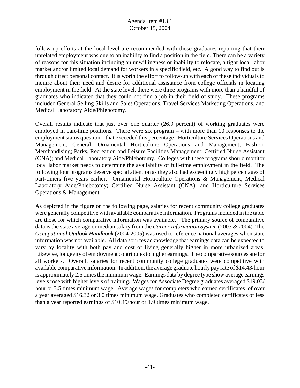follow-up efforts at the local level are recommended with those graduates reporting that their unrelated employment was due to an inability to find a position in the field. There can be a variety of reasons for this situation including an unwillingness or inability to relocate, a tight local labor market and/or limited local demand for workers in a specific field, etc. A good way to find out is through direct personal contact. It is worth the effort to follow-up with each of these individuals to inquire about their need and desire for additional assistance from college officials in locating employment in the field. At the state level, there were three programs with more than a handful of graduates who indicated that they could not find a job in their field of study. These programs included General Selling Skills and Sales Operations, Travel Services Marketing Operations, and Medical Laboratory Aide/Phlebotomy.

Overall results indicate that just over one quarter (26.9 percent) of working graduates were employed in part-time positions. There were six program – with more than 10 responses to the employment status question – that exceeded this percentage: Horticulture Services Operations and Management, General; Ornamental Horticulture Operations and Management; Fashion Merchandising; Parks, Recreation and Leisure Facilities Management; Certified Nurse Assistant (CNA); and Medical Laboratory Aide/Phlebotomy. Colleges with these programs should monitor local labor market needs to determine the availability of full-time employment in the field. The following four programs deserve special attention as they also had exceedingly high percentages of part-timers five years earlier: Ornamental Horticulture Operations & Management; Medical Laboratory Aide/Phlebotomy; Certified Nurse Assistant (CNA); and Horticulture Services Operations & Management.

As depicted in the figure on the following page, salaries for recent community college graduates were generally competitive with available comparative information. Programs included in the table are those for which comparative information was available. The primary source of comparative data is the state average or median salary from the *Career Information System* (2003 & 2004). The *Occupational Outlook Handbook* (2004-2005) was used to reference national averages when state information was not available. All data sources acknowledge that earnings data can be expected to vary by locality with both pay and cost of living generally higher in more urbanized areas. Likewise, longevity of employment contributes to higher earnings. The comparative sources are for all workers. Overall, salaries for recent community college graduates were competitive with available comparative information. In addition, the average graduate hourly pay rate of \$14.43/hour is approximately 2.6 times the minimum wage. Earnings data by degree type show average earnings levels rose with higher levels of training. Wages for Associate Degree graduates averaged \$19.03/ hour or 3.5 times minimum wage. Average wages for completers who earned certificates of over a year averaged \$16.32 or 3.0 times minimum wage. Graduates who completed certificates of less than a year reported earnings of \$10.49/hour or 1.9 times minimum wage.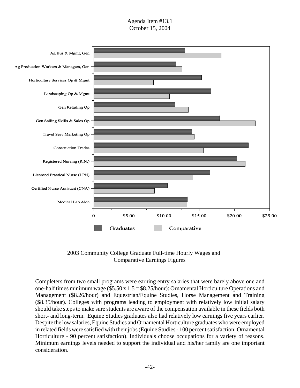

2003 Community College Graduate Full-time Hourly Wages and Comparative Earnings Figures

Completers from two small programs were earning entry salaries that were barely above one and one-half times minimum wage (\$5.50 x 1.5 = \$8.25/hour): Ornamental Horticulture Operations and Management (\$8.26/hour) and Equestrian/Equine Studies, Horse Management and Training (\$8.35/hour). Colleges with programs leading to employment with relatively low initial salary should take steps to make sure students are aware of the compensation available in these fields both short- and long-term. Equine Studies graduates also had relatively low earnings five years earlier. Despite the low salaries, Equine Studies and Ornamental Horticulture graduates who were employed in related fields were satisfied with their jobs (Equine Studies - 100 percent satisfaction; Ornamental Horticulture - 90 percent satisfaction). Individuals choose occupations for a variety of reasons. Minimum earnings levels needed to support the individual and his/her family are one important consideration.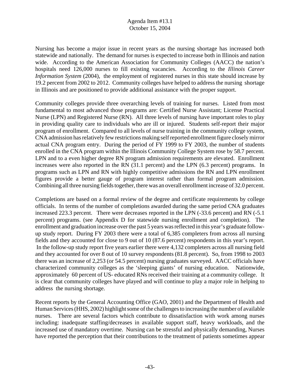Nursing has become a major issue in recent years as the nursing shortage has increased both statewide and nationally. The demand for nurses is expected to increase both in Illinois and nation wide. According to the American Association for Community Colleges (AACC) the nation's hospitals need 126,000 nurses to fill existing vacancies. According to the *Illinois Career Information System* (2004), the employment of registered nurses in this state should increase by 19.2 percent from 2002 to 2012. Community colleges have helped to address the nursing shortage in Illinois and are positioned to provide additional assistance with the proper support.

Community colleges provide three overarching levels of training for nurses. Listed from most fundamental to most advanced those programs are: Certified Nurse Assistant; License Practical Nurse (LPN) and Registered Nurse (RN). All three levels of nursing have important roles to play in providing quality care to individuals who are ill or injured. Students self-report their major program of enrollment. Compared to all levels of nurse training in the community college system, CNA admission has relatively few restrictions making self reported enrollment figure closely mirror actual CNA program entry. During the period of FY 1999 to FY 2003, the number of students enrolled in the CNA program within the Illinois Community College System rose by 58.7 percent. LPN and to a even higher degree RN program admission requirements are elevated. Enrollment increases were also reported in the RN (31.1 percent) and the LPN (6.3 percent) programs. In programs such as LPN and RN with highly competitive admissions the RN and LPN enrollment figures provide a better gauge of program interest rather than formal program admission. Combining all three nursing fields together, there was an overall enrollment increase of 32.0 percent.

Completions are based on a formal review of the degree and certificate requirements by college officials. In terms of the number of completions awarded during the same period CNA graduates increased 223.3 percent. There were decreases reported in the LPN (-33.6 percent) and RN (-5.1) percent) programs. (see Appendix D for statewide nursing enrollment and completion). The enrollment and graduation increase over the past 5 years was reflected in this year's graduate followup study report. During FY 2003 there were a total of 6,385 completers from across all nursing fields and they accounted for close to 9 out of 10 (87.6 percent) respondents in this year's report. In the follow-up study report five years earlier there were 4,132 completers across all nursing field and they accounted for over 8 out of 10 survey respondents (81.8 percent). So, from 1998 to 2003 there was an increase of 2,253 (or 54.5 percent) nursing graduates surveyed. AACC officials have characterized community colleges as the 'sleeping giants' of nursing education. Nationwide, approximately 60 percent of US- educated RNs received their training at a community college. It is clear that community colleges have played and will continue to play a major role in helping to address the nursing shortage.

Recent reports by the General Accounting Office (GAO, 2001) and the Department of Health and Human Services (HHS, 2002) highlight some of the challenges to increasing the number of available nurses. There are several factors which contribute to dissatisfaction with work among nurses including: inadequate staffing/decreases in available support staff, heavy workloads, and the increased use of mandatory overtime. Nursing can be stressful and physically demanding, Nurses have reported the perception that their contributions to the treatment of patients sometimes appear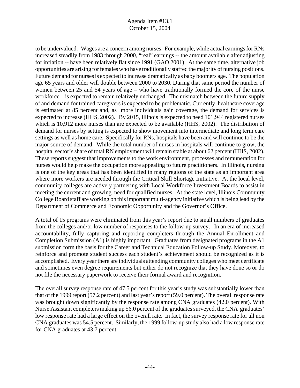to be undervalued. Wages are a concern among nurses. For example, while actual earnings for RNs increased steadily from 1983 through 2000, "real" earnings -- the amount available after adjusting for inflation -- have been relatively flat since 1991 (GAO 2001). At the same time, alternative job opportunities are arising for females who have traditionally staffed the majority of nursing positions. Future demand for nurses is expected to increase dramatically as baby boomers age. The population age 65 years and older will double between 2000 to 2030. During that same period the number of women between 25 and 54 years of age – who have traditionally formed the core of the nurse workforce – is expected to remain relatively unchanged. The mismatch between the future supply of and demand for trained caregivers is expected to be problematic. Currently, healthcare coverage is estimated at 85 percent and, as more individuals gain coverage, the demand for services is expected to increase (HHS, 2002). By 2015, Illinois is expected to need 101,944 registered nurses which is 10,912 more nurses than are expected to be available (HHS, 2002). The distribution of demand for nurses by setting is expected to show movement into intermediate and long term care settings as well as home care. Specifically for RNs, hospitals have been and will continue to be the major source of demand. While the total number of nurses in hospitals will continue to grow, the hospital sector's share of total RN employment will remain stable at about 62 percent (HHS, 2002). These reports suggest that improvements to the work environment, processes and remuneration for nurses would help make the occupation more appealing to future practitioners. In Illinois, nursing is one of the key areas that has been identified in many regions of the state as an important area where more workers are needed through the Critical Skill Shortage Initiative. At the local level, community colleges are actively partnering with Local Workforce Investment Boards to assist in meeting the current and growing need for qualified nurses. At the state level, Illinois Community College Board staff are working on this important multi-agency initiative which is being lead by the Department of Commerce and Economic Opportunity and the Governor's Office.

A total of 15 programs were eliminated from this year's report due to small numbers of graduates from the colleges and/or low number of responses to the follow-up survey. In an era of increased accountability, fully capturing and reporting completers through the Annual Enrollment and Completion Submission (A1) is highly important. Graduates from designated programs in the A1 submission form the basis for the Career and Technical Education Follow-up Study. Moreover, to reinforce and promote student success each student's achievement should be recognized as it is accomplished. Every year there are individuals attending community colleges who meet certificate and sometimes even degree requirements but either do not recognize that they have done so or do not file the necessary paperwork to receive their formal award and recognition.

The overall survey response rate of 47.5 percent for this year's study was substantially lower than that of the 1999 report (57.2 percent) and last year's report (59.0 percent). The overall response rate was brought down significantly by the response rate among CNA graduates (42.0 percent). With Nurse Assistant completers making up 56.0 percent of the graduates surveyed, the CNA graduates' low response rate had a large effect on the overall rate. In fact, the survey response rate for all non CNA graduates was 54.5 percent. Similarly, the 1999 follow-up study also had a low response rate for CNA graduates at 43.7 percent.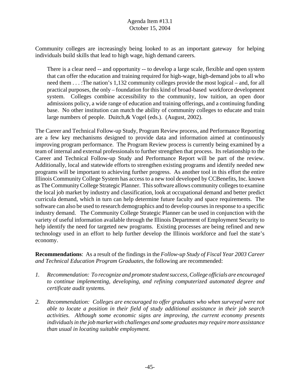Community colleges are increasingly being looked to as an important gateway for helping individuals build skills that lead to high wage, high demand careers.

There is a clear need -- and opportunity -- to develop a large scale, flexible and open system that can offer the education and training required for high-wage, high-demand jobs to all who need them . . . :The nation's 1,132 community colleges provide the most logical – and, for all practical purposes, the only – foundation for this kind of broad-based workforce development system. Colleges combine accessibility to the community, low tuition, an open door admissions policy, a wide range of education and training offerings, and a continuing funding base. No other institution can match the ability of community colleges to educate and train large numbers of people. Duitch,& Vogel (eds.). (August, 2002).

The Career and Technical Follow-up Study, Program Review process, and Performance Reporting are a few key mechanisms designed to provide data and information aimed at continuously improving program performance. The Program Review process is currently being examined by a team of internal and external professionals to further strengthen that process. Its relationship to the Career and Technical Follow-up Study and Performance Report will be part of the review. Additionally, local and statewide efforts to strengthen existing programs and identify needed new programs will be important to achieving further progress. As another tool in this effort the entire Illinois Community College System has access to a new tool developed by CCBenefits, Inc. known as The Community College Strategic Planner. This software allows community colleges to examine the local job market by industry and classification, look at occupational demand and better predict curricula demand, which in turn can help determine future faculty and space requirements. The software can also be used to research demographics and to develop courses in response to a specific industry demand. The Community College Strategic Planner can be used in conjunction with the variety of useful information available through the Illinois Department of Employment Security to help identify the need for targeted new programs. Existing processes are being refined and new technology used in an effort to help further develop the Illinois workforce and fuel the state's economy.

**Recommendations**: As a result of the findings in the *Follow-up Study of Fiscal Year 2003 Career and Technical Education Program Graduates*, the following are recommended:

- *1. Recommendation: To recognize and promote student success, College officials are encouraged to continue implementing, developing, and refining computerized automated degree and certificate audit systems.*
- *2. Recommendation: Colleges are encouraged to offer graduates who when surveyed were not able to locate a position in their field of study additional assistance in their job search activities. Although some economic signs are improving, the current economy presents individuals in the job market with challenges and some graduates may require more assistance than usual in locating suitable employment.*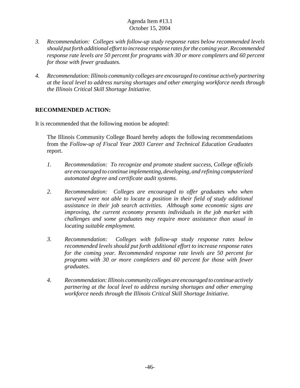- *3. Recommendation: Colleges with follow-up study response rates below recommended levels should put forth additional effort to increase response rates for the coming year. Recommended response rate levels are 50 percent for programs with 30 or more completers and 60 percent for those with fewer graduates.*
- *4. Recommendation: Illinois community colleges are encouraged to continue actively partnering at the local level to address nursing shortages and other emerging workforce needs through the Illinois Critical Skill Shortage Initiative.*

# **RECOMMENDED ACTION:**

It is recommended that the following motion be adopted:

The Illinois Community College Board hereby adopts the following recommendations from the *Follow-up of Fiscal Year 2003 Career and Technical Education Graduates* report.

- *1. Recommendation: To recognize and promote student success, College officials are encouraged to continue implementing, developing, and refining computerized automated degree and certificate audit systems.*
- *2. Recommendation: Colleges are encouraged to offer graduates who when surveyed were not able to locate a position in their field of study additional assistance in their job search activities. Although some economic signs are improving, the current economy presents individuals in the job market with challenges and some graduates may require more assistance than usual in locating suitable employment.*
- *3. Recommendation: Colleges with follow-up study response rates below recommended levels should put forth additional effort to increase response rates for the coming year. Recommended response rate levels are 50 percent for programs with 30 or more completers and 60 percent for those with fewer graduates.*
- *4. Recommendation: Illinois community colleges are encouraged to continue actively partnering at the local level to address nursing shortages and other emerging workforce needs through the Illinois Critical Skill Shortage Initiative.*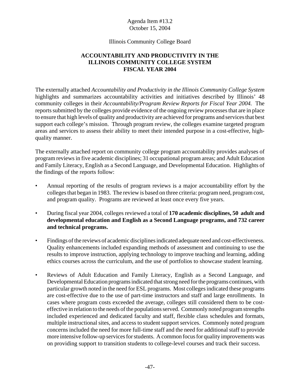#### Illinois Community College Board

# **ACCOUNTABILITY AND PRODUCTIVITY IN THE ILLINOIS COMMUNITY COLLEGE SYSTEM FISCAL YEAR 2004**

The externally attached *Accountability and Productivity in the Illinois Community College System* highlights and summarizes accountability activities and initiatives described by Illinois' 48 community colleges in their *Accountability/Program Review Reports for Fiscal Year 2004.* The reports submitted by the colleges provide evidence of the ongoing review processes that are in place to ensure that high levels of quality and productivity are achieved for programs and services that best support each college's mission. Through program review, the colleges examine targeted program areas and services to assess their ability to meet their intended purpose in a cost-effective, highquality manner.

The externally attached report on community college program accountability provides analyses of program reviews in five academic disciplines; 31 occupational program areas; and Adult Education and Family Literacy, English as a Second Language, and Developmental Education. Highlights of the findings of the reports follow:

- Annual reporting of the results of program reviews is a major accountability effort by the colleges that began in 1983. The review is based on three criteria: program need, program cost, and program quality. Programs are reviewed at least once every five years.
- During fiscal year 2004, colleges reviewed a total of **170 academic disciplines, 50 adult and developmental education and English as a Second Language programs, and 732 career and technical programs.**
- Findings of the reviews of academic disciplines indicated adequate need and cost-effectiveness. Quality enhancements included expanding methods of assessment and continuing to use the results to improve instruction, applying technology to improve teaching and learning, adding ethics courses across the curriculum, and the use of portfolios to showcase student learning.
- Reviews of Adult Education and Family Literacy, English as a Second Language, and Developmental Education programs indicated that strong need for the programs continues, with particular growth noted in the need for ESL programs. Most colleges indicated these programs are cost-effective due to the use of part-time instructors and staff and large enrollments. In cases where program costs exceeded the average, colleges still considered them to be costeffective in relation to the needs of the populations served. Commonly noted program strengths included experienced and dedicated faculty and staff, flexible class schedules and formats, multiple instructional sites, and access to student support services. Commonly noted program concerns included the need for more full-time staff and the need for additional staff to provide more intensive follow-up services for students. A common focus for quality improvements was on providing support to transition students to college-level courses and track their success.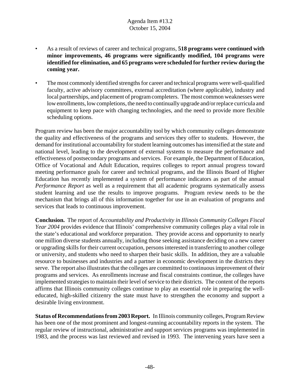- As a result of reviews of career and technical programs, **518 programs were continued with minor improvements, 46 programs were significantly modified, 104 programs were identified for elimination, and 65 programs were scheduled for further review during the coming year.**
- The most commonly identified strengths for career and technical programs were well-qualified faculty, active advisory committees, external accreditation (where applicable), industry and local partnerships, and placement of program completers. The most common weaknesses were low enrollments, low completions, the need to continually upgrade and/or replace curricula and equipment to keep pace with changing technologies, and the need to provide more flexible scheduling options.

Program review has been the major accountability tool by which community colleges demonstrate the quality and effectiveness of the programs and services they offer to students. However, the demand for institutional accountability for student learning outcomes has intensified at the state and national level, leading to the development of external systems to measure the performance and effectiveness of postsecondary programs and services. For example, the Department of Education, Office of Vocational and Adult Education, requires colleges to report annual progress toward meeting performance goals for career and technical programs, and the Illinois Board of Higher Education has recently implemented a system of performance indicators as part of the annual *Performance Report* as well as a requirement that all academic programs systematically assess student learning and use the results to improve programs. Program review needs to be the mechanism that brings all of this information together for use in an evaluation of programs and services that leads to continuous improvement.

**Conclusion.** The report of *Accountability and Productivity in Illinois Community Colleges Fiscal Year 2004* provides evidence that Illinois' comprehensive community colleges play a vital role in the state's educational and workforce preparation. They provide access and opportunity to nearly one million diverse students annually, including those seeking assistance deciding on a new career or upgrading skills for their current occupation, persons interested in transferring to another college or university, and students who need to sharpen their basic skills. In addition, they are a valuable resource to businesses and industries and a partner in economic development in the districts they serve. The report also illustrates that the colleges are committed to continuous improvement of their programs and services. As enrollments increase and fiscal constraints continue, the colleges have implemented strategies to maintain their level of service to their districts. The content of the reports affirms that Illinois community colleges continue to play an essential role in preparing the welleducated, high-skilled citizenry the state must have to strengthen the economy and support a desirable living environment.

**Status of Recommendations from 2003 Report.** In Illinois community colleges, Program Review has been one of the most prominent and longest-running accountability reports in the system. The regular review of instructional, administrative and support services programs was implemented in 1983, and the process was last reviewed and revised in 1993. The intervening years have seen a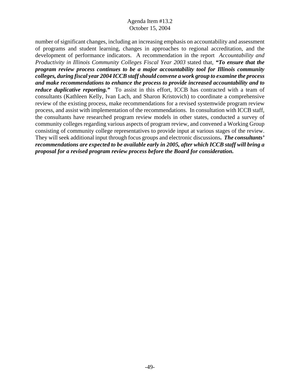number of significant changes, including an increasing emphasis on accountability and assessment of programs and student learning, changes in approaches to regional accreditation, and the development of performance indicators. A recommendation in the report *Accountability and Productivity in Illinois Community Colleges Fiscal Year 2003* stated that, *"To ensure that the program review process continues to be a major accountability tool for Illinois community colleges, during fiscal year 2004 ICCB staff should convene a work group to examine the process and make recommendations to enhance the process to provide increased accountability and to reduce duplicative reporting.*" To assist in this effort, ICCB has contracted with a team of consultants (Kathleen Kelly, Ivan Lach, and Sharon Kristovich) to coordinate a comprehensive review of the existing process, make recommendations for a revised systemwide program review process, and assist with implementation of the recommendations. In consultation with ICCB staff, the consultants have researched program review models in other states, conducted a survey of community colleges regarding various aspects of program review, and convened a Working Group consisting of community college representatives to provide input at various stages of the review. They will seek additional input through focus groups and electronic discussions**.** *The consultants' recommendations are expected to be available early in 2005, after which ICCB staff will bring a proposal for a revised program review process before the Board for consideration.*